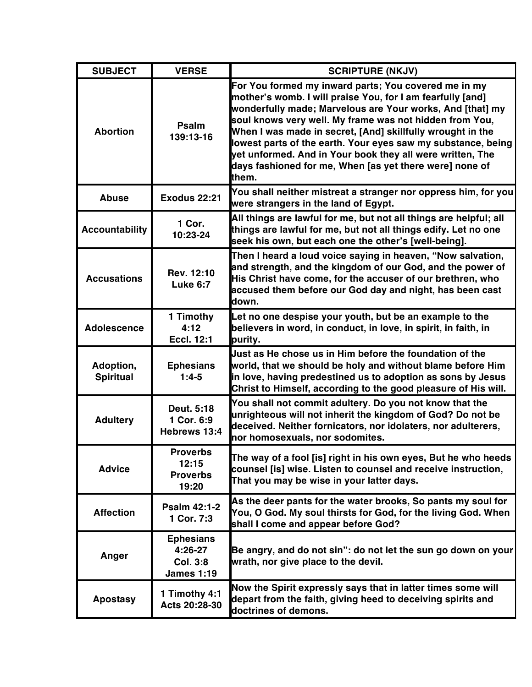| <b>SUBJECT</b>                | <b>VERSE</b>                                                        | <b>SCRIPTURE (NKJV)</b>                                                                                                                                                                                                                                                                                                                                                                                                                                                                                   |
|-------------------------------|---------------------------------------------------------------------|-----------------------------------------------------------------------------------------------------------------------------------------------------------------------------------------------------------------------------------------------------------------------------------------------------------------------------------------------------------------------------------------------------------------------------------------------------------------------------------------------------------|
| <b>Abortion</b>               | Psalm<br>139:13-16                                                  | For You formed my inward parts; You covered me in my<br>mother's womb. I will praise You, for I am fearfully [and]<br>wonderfully made; Marvelous are Your works, And [that] my<br>soul knows very well. My frame was not hidden from You,<br>When I was made in secret, [And] skillfully wrought in the<br>lowest parts of the earth. Your eyes saw my substance, being<br>yet unformed. And in Your book they all were written, The<br>days fashioned for me, When [as yet there were] none of<br>them. |
| Abuse                         | <b>Exodus 22:21</b>                                                 | You shall neither mistreat a stranger nor oppress him, for you<br>were strangers in the land of Egypt.                                                                                                                                                                                                                                                                                                                                                                                                    |
| <b>Accountability</b>         | 1 Cor.<br>10:23-24                                                  | All things are lawful for me, but not all things are helpful; all<br>things are lawful for me, but not all things edify. Let no one<br>seek his own, but each one the other's [well-being].                                                                                                                                                                                                                                                                                                               |
| <b>Accusations</b>            | Rev. 12:10<br><b>Luke 6:7</b>                                       | Then I heard a loud voice saying in heaven, "Now salvation,<br>and strength, and the kingdom of our God, and the power of<br>His Christ have come, for the accuser of our brethren, who<br>accused them before our God day and night, has been cast<br>down.                                                                                                                                                                                                                                              |
| <b>Adolescence</b>            | 1 Timothy<br>4:12<br><b>Eccl. 12:1</b>                              | Let no one despise your youth, but be an example to the<br>believers in word, in conduct, in love, in spirit, in faith, in<br>purity.                                                                                                                                                                                                                                                                                                                                                                     |
| Adoption,<br><b>Spiritual</b> | <b>Ephesians</b><br>$1:4-5$                                         | Uust as He chose us in Him before the foundation of the<br>world, that we should be holy and without blame before Him<br>in love, having predestined us to adoption as sons by Jesus<br>Christ to Himself, according to the good pleasure of His will.                                                                                                                                                                                                                                                    |
| <b>Adultery</b>               | Deut. 5:18<br>1 Cor. 6:9<br>Hebrews 13:4                            | You shall not commit adultery. Do you not know that the<br>unrighteous will not inherit the kingdom of God? Do not be<br>deceived. Neither fornicators, nor idolaters, nor adulterers,<br>nor homosexuals, nor sodomites.                                                                                                                                                                                                                                                                                 |
| <b>Advice</b>                 | <b>Proverbs</b><br>12:15<br><b>Proverbs</b><br>19:20                | The way of a fool [is] right in his own eyes, But he who heeds<br>counsel [is] wise. Listen to counsel and receive instruction,<br>That you may be wise in your latter days.                                                                                                                                                                                                                                                                                                                              |
| <b>Affection</b>              | <b>Psalm 42:1-2</b><br>1 Cor. 7:3                                   | As the deer pants for the water brooks, So pants my soul for<br>You, O God. My soul thirsts for God, for the living God. When<br>shall I come and appear before God?                                                                                                                                                                                                                                                                                                                                      |
| Anger                         | <b>Ephesians</b><br>4:26-27<br><b>Col. 3:8</b><br><b>James 1:19</b> | Be angry, and do not sin": do not let the sun go down on your<br>wrath, nor give place to the devil.                                                                                                                                                                                                                                                                                                                                                                                                      |
| <b>Apostasy</b>               | 1 Timothy 4:1<br>Acts 20:28-30                                      | Now the Spirit expressly says that in latter times some will<br>depart from the faith, giving heed to deceiving spirits and<br>doctrines of demons.                                                                                                                                                                                                                                                                                                                                                       |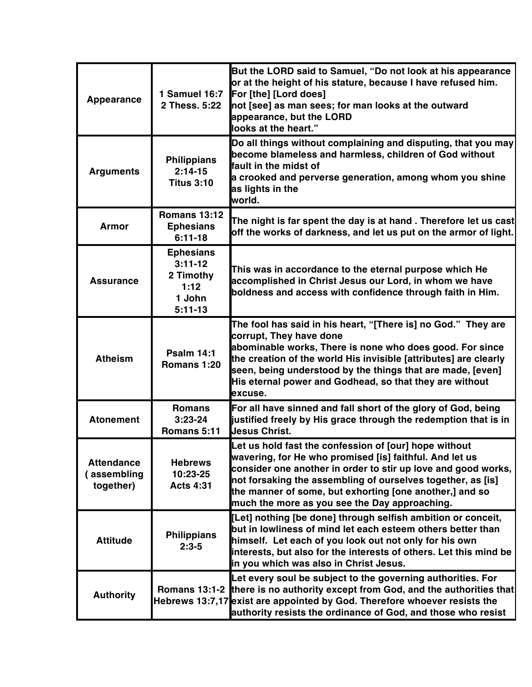| <b>Appearance</b>                            | 1 Samuel 16:7<br>2 Thess. 5:22                                            | But the LORD said to Samuel, "Do not look at his appearance<br>or at the height of his stature, because I have refused him.<br>For [the] [Lord does]<br>not [see] as man sees; for man looks at the outward<br>appearance, but the LORD<br>looks at the heart."                                                                                              |
|----------------------------------------------|---------------------------------------------------------------------------|--------------------------------------------------------------------------------------------------------------------------------------------------------------------------------------------------------------------------------------------------------------------------------------------------------------------------------------------------------------|
| <b>Arguments</b>                             | <b>Philippians</b><br>$2:14-15$<br><b>Titus 3:10</b>                      | Do all things without complaining and disputing, that you may<br>become blameless and harmless, children of God without<br><b>fault in the midst of</b><br>a crooked and perverse generation, among whom you shine<br>as lights in the<br>world.                                                                                                             |
| <b>Armor</b>                                 | <b>Romans 13:12</b><br><b>Ephesians</b><br>$6:11-18$                      | The night is far spent the day is at hand . Therefore let us cast<br>off the works of darkness, and let us put on the armor of light.                                                                                                                                                                                                                        |
| <b>Assurance</b>                             | <b>Ephesians</b><br>$3:11-12$<br>2 Timothy<br>1:12<br>1 John<br>$5:11-13$ | This was in accordance to the eternal purpose which He<br>accomplished in Christ Jesus our Lord, in whom we have<br>boldness and access with confidence through faith in Him.                                                                                                                                                                                |
| <b>Atheism</b>                               | <b>Psalm 14:1</b><br>Romans 1:20                                          | The fool has said in his heart, "[There is] no God." They are<br>corrupt, They have done<br>abominable works, There is none who does good. For since<br>the creation of the world His invisible [attributes] are clearly<br>seen, being understood by the things that are made, [even]<br>His eternal power and Godhead, so that they are without<br>excuse. |
| <b>Atonement</b>                             | <b>Romans</b><br>$3:23-24$<br>Romans 5:11                                 | For all have sinned and fall short of the glory of God, being<br>justified freely by His grace through the redemption that is in<br><b>Jesus Christ.</b>                                                                                                                                                                                                     |
| <b>Attendance</b><br>assembling<br>together) | <b>Hebrews</b><br>10:23-25<br><b>Acts 4:31</b>                            | Let us hold fast the confession of [our] hope without<br>wavering, for He who promised [is] faithful. And let us<br>consider one another in order to stir up love and good works,<br>not forsaking the assembling of ourselves together, as [is]<br>the manner of some, but exhorting [one another,] and so<br>much the more as you see the Day approaching. |
| <b>Attitude</b>                              | <b>Philippians</b><br>$2:3-5$                                             | [Let] nothing [be done] through selfish ambition or conceit,<br>but in lowliness of mind let each esteem others better than<br>himself. Let each of you look out not only for his own<br>interests, but also for the interests of others. Let this mind be<br>in you which was also in Christ Jesus.                                                         |
| <b>Authority</b>                             |                                                                           | Let every soul be subject to the governing authorities. For<br>Romans 13:1-2 there is no authority except from God, and the authorities that<br>Hebrews 13:7,17 exist are appointed by God. Therefore whoever resists the<br>authority resists the ordinance of God, and those who resist                                                                    |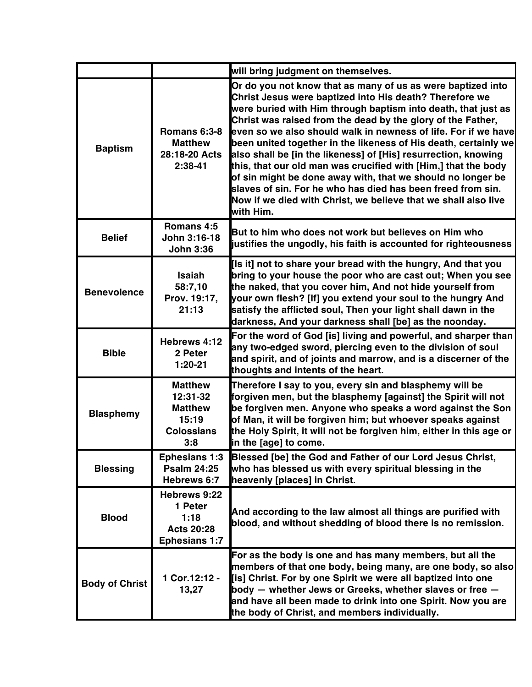|                       |                                                                                   | will bring judgment on themselves.                                                                                                                                                                                                                                                                                                                                                                                                                                                                                                                                                                                                                                                                                                           |
|-----------------------|-----------------------------------------------------------------------------------|----------------------------------------------------------------------------------------------------------------------------------------------------------------------------------------------------------------------------------------------------------------------------------------------------------------------------------------------------------------------------------------------------------------------------------------------------------------------------------------------------------------------------------------------------------------------------------------------------------------------------------------------------------------------------------------------------------------------------------------------|
| <b>Baptism</b>        | Romans 6:3-8<br><b>Matthew</b><br>28:18-20 Acts<br>$2:38-41$                      | Or do you not know that as many of us as were baptized into<br>Christ Jesus were baptized into His death? Therefore we<br>were buried with Him through baptism into death, that just as<br>Christ was raised from the dead by the glory of the Father,<br>even so we also should walk in newness of life. For if we have<br>been united together in the likeness of His death, certainly we<br>also shall be [in the likeness] of [His] resurrection, knowing<br>this, that our old man was crucified with [Him,] that the body<br>of sin might be done away with, that we should no longer be<br>slaves of sin. For he who has died has been freed from sin.<br>Now if we died with Christ, we believe that we shall also live<br>with Him. |
| <b>Belief</b>         | Romans 4:5<br>John 3:16-18<br><b>John 3:36</b>                                    | But to him who does not work but believes on Him who<br>justifies the ungodly, his faith is accounted for righteousness                                                                                                                                                                                                                                                                                                                                                                                                                                                                                                                                                                                                                      |
| <b>Benevolence</b>    | Isaiah<br>58:7,10<br>Prov. 19:17,<br>21:13                                        | [Is it] not to share your bread with the hungry, And that you<br>bring to your house the poor who are cast out; When you see<br>the naked, that you cover him, And not hide yourself from<br>your own flesh? [If] you extend your soul to the hungry And<br>satisfy the afflicted soul, Then your light shall dawn in the<br>darkness, And your darkness shall [be] as the noonday.                                                                                                                                                                                                                                                                                                                                                          |
| <b>Bible</b>          | Hebrews 4:12<br>2 Peter<br>$1:20-21$                                              | For the word of God [is] living and powerful, and sharper than<br>any two-edged sword, piercing even to the division of soul<br>and spirit, and of joints and marrow, and is a discerner of the<br>thoughts and intents of the heart.                                                                                                                                                                                                                                                                                                                                                                                                                                                                                                        |
| <b>Blasphemy</b>      | <b>Matthew</b><br>12:31-32<br><b>Matthew</b><br>15:19<br><b>Colossians</b><br>3:8 | Therefore I say to you, every sin and blasphemy will be<br>forgiven men, but the blasphemy [against] the Spirit will not<br>be forgiven men. Anyone who speaks a word against the Son<br>of Man, it will be forgiven him; but whoever speaks against<br>the Holy Spirit, it will not be forgiven him, either in this age or<br>in the [age] to come.                                                                                                                                                                                                                                                                                                                                                                                         |
| <b>Blessing</b>       | <b>Ephesians 1:3</b><br><b>Psalm 24:25</b><br>Hebrews 6:7                         | Blessed [be] the God and Father of our Lord Jesus Christ,<br>who has blessed us with every spiritual blessing in the<br>heavenly [places] in Christ.                                                                                                                                                                                                                                                                                                                                                                                                                                                                                                                                                                                         |
| <b>Blood</b>          | Hebrews 9:22<br>1 Peter<br>1:18<br><b>Acts 20:28</b><br><b>Ephesians 1:7</b>      | And according to the law almost all things are purified with<br>blood, and without shedding of blood there is no remission.                                                                                                                                                                                                                                                                                                                                                                                                                                                                                                                                                                                                                  |
| <b>Body of Christ</b> | 1 Cor.12:12 -<br>13,27                                                            | For as the body is one and has many members, but all the<br>members of that one body, being many, are one body, so also<br>[is] Christ. For by one Spirit we were all baptized into one<br>body - whether Jews or Greeks, whether slaves or free -<br>and have all been made to drink into one Spirit. Now you are<br>the body of Christ, and members individually.                                                                                                                                                                                                                                                                                                                                                                          |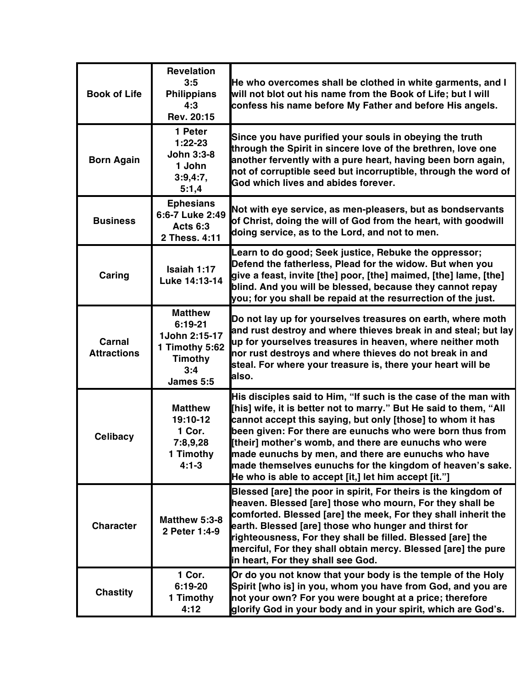| <b>Book of Life</b>          | <b>Revelation</b><br>3:5<br><b>Philippians</b><br>4:3<br>Rev. 20:15                                  | He who overcomes shall be clothed in white garments, and I<br>will not blot out his name from the Book of Life; but I will<br>confess his name before My Father and before His angels.                                                                                                                                                                                                                                                                                                               |
|------------------------------|------------------------------------------------------------------------------------------------------|------------------------------------------------------------------------------------------------------------------------------------------------------------------------------------------------------------------------------------------------------------------------------------------------------------------------------------------------------------------------------------------------------------------------------------------------------------------------------------------------------|
| <b>Born Again</b>            | 1 Peter<br>$1:22-23$<br><b>John 3:3-8</b><br>1 John<br>3:9,4:7,<br>5:1,4                             | Since you have purified your souls in obeying the truth<br>through the Spirit in sincere love of the brethren, love one<br>another fervently with a pure heart, having been born again,<br>not of corruptible seed but incorruptible, through the word of<br>God which lives and abides forever.                                                                                                                                                                                                     |
| <b>Business</b>              | <b>Ephesians</b><br>6:6-7 Luke 2:49<br><b>Acts 6:3</b><br>2 Thess. 4:11                              | Not with eye service, as men-pleasers, but as bondservants<br>of Christ, doing the will of God from the heart, with goodwill<br>doing service, as to the Lord, and not to men.                                                                                                                                                                                                                                                                                                                       |
| Caring                       | Isaiah 1:17<br>Luke 14:13-14                                                                         | Learn to do good; Seek justice, Rebuke the oppressor;<br>Defend the fatherless, Plead for the widow. But when you<br>give a feast, invite [the] poor, [the] maimed, [the] lame, [the]<br>blind. And you will be blessed, because they cannot repay<br>you; for you shall be repaid at the resurrection of the just.                                                                                                                                                                                  |
| Carnal<br><b>Attractions</b> | <b>Matthew</b><br>$6:19-21$<br>1John 2:15-17<br>1 Timothy 5:62<br><b>Timothy</b><br>3:4<br>James 5:5 | Do not lay up for yourselves treasures on earth, where moth<br>and rust destroy and where thieves break in and steal; but lay<br>up for yourselves treasures in heaven, where neither moth<br>nor rust destroys and where thieves do not break in and<br>steal. For where your treasure is, there your heart will be<br>also.                                                                                                                                                                        |
| <b>Celibacy</b>              | <b>Matthew</b><br>19:10-12<br>1 Cor.<br>7:8,9,28<br>1 Timothy<br>$4:1 - 3$                           | His disciples said to Him, "If such is the case of the man with<br>[his] wife, it is better not to marry." But He said to them, "All<br>cannot accept this saying, but only [those] to whom it has<br>been given: For there are eunuchs who were born thus from<br>[their] mother's womb, and there are eunuchs who were<br>made eunuchs by men, and there are eunuchs who have<br>made themselves eunuchs for the kingdom of heaven's sake.<br>He who is able to accept [it,] let him accept [it."] |
| <b>Character</b>             | Matthew 5:3-8<br>2 Peter 1:4-9                                                                       | Blessed [are] the poor in spirit, For theirs is the kingdom of<br>heaven. Blessed [are] those who mourn, For they shall be<br>comforted. Blessed [are] the meek, For they shall inherit the<br>earth. Blessed [are] those who hunger and thirst for<br>righteousness, For they shall be filled. Blessed [are] the<br>merciful, For they shall obtain mercy. Blessed [are] the pure<br>in heart, For they shall see God.                                                                              |
| <b>Chastity</b>              | 1 Cor.<br>6:19-20<br>1 Timothy<br>4:12                                                               | Or do you not know that your body is the temple of the Holy<br>Spirit [who is] in you, whom you have from God, and you are<br>not your own? For you were bought at a price; therefore<br>glorify God in your body and in your spirit, which are God's.                                                                                                                                                                                                                                               |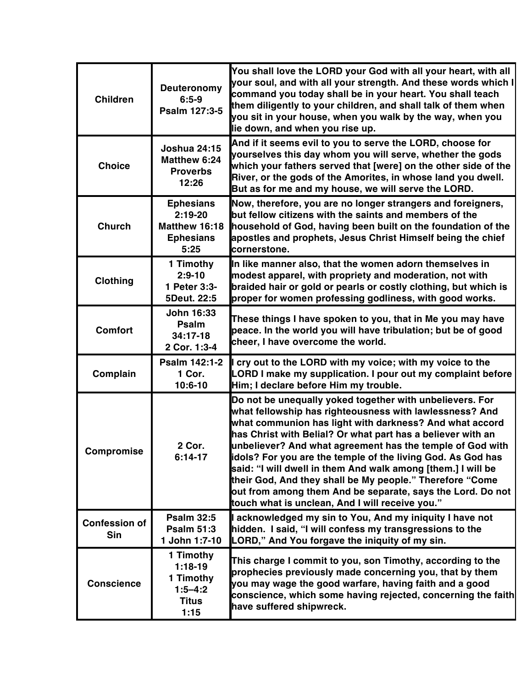| <b>Children</b>                    | <b>Deuteronomy</b><br>$6:5-9$<br>Psalm 127:3-5                             | You shall love the LORD your God with all your heart, with all<br>your soul, and with all your strength. And these words which I<br>command you today shall be in your heart. You shall teach<br>them diligently to your children, and shall talk of them when<br>you sit in your house, when you walk by the way, when you<br>lie down, and when you rise up.                                                                                                                                                                                                                                                         |
|------------------------------------|----------------------------------------------------------------------------|------------------------------------------------------------------------------------------------------------------------------------------------------------------------------------------------------------------------------------------------------------------------------------------------------------------------------------------------------------------------------------------------------------------------------------------------------------------------------------------------------------------------------------------------------------------------------------------------------------------------|
| <b>Choice</b>                      | <b>Joshua 24:15</b><br>Matthew 6:24<br><b>Proverbs</b><br>12:26            | And if it seems evil to you to serve the LORD, choose for<br>yourselves this day whom you will serve, whether the gods<br>which your fathers served that [were] on the other side of the<br>River, or the gods of the Amorites, in whose land you dwell.<br>But as for me and my house, we will serve the LORD.                                                                                                                                                                                                                                                                                                        |
| <b>Church</b>                      | <b>Ephesians</b><br>$2:19-20$<br>Matthew 16:18<br><b>Ephesians</b><br>5:25 | Now, therefore, you are no longer strangers and foreigners,<br>but fellow citizens with the saints and members of the<br>household of God, having been built on the foundation of the<br>apostles and prophets, Jesus Christ Himself being the chief<br>cornerstone.                                                                                                                                                                                                                                                                                                                                                   |
| <b>Clothing</b>                    | 1 Timothy<br>$2:9-10$<br>1 Peter 3:3-<br>5Deut. 22:5                       | In like manner also, that the women adorn themselves in<br>modest apparel, with propriety and moderation, not with<br>braided hair or gold or pearls or costly clothing, but which is<br>proper for women professing godliness, with good works.                                                                                                                                                                                                                                                                                                                                                                       |
| <b>Comfort</b>                     | John 16:33<br>Psalm<br>$34:17-18$<br>2 Cor. 1:3-4                          | These things I have spoken to you, that in Me you may have<br>peace. In the world you will have tribulation; but be of good<br>cheer, I have overcome the world.                                                                                                                                                                                                                                                                                                                                                                                                                                                       |
| Complain                           | Psalm 142:1-2<br>1 Cor.<br>$10:6-10$                                       | I cry out to the LORD with my voice; with my voice to the<br>LORD I make my supplication. I pour out my complaint before<br>Him; I declare before Him my trouble.                                                                                                                                                                                                                                                                                                                                                                                                                                                      |
| Compromise                         | 2 Cor.<br>$6:14-17$                                                        | Do not be unequally yoked together with unbelievers. For<br>what fellowship has righteousness with lawlessness? And<br>what communion has light with darkness? And what accord<br>has Christ with Belial? Or what part has a believer with an<br>unbeliever? And what agreement has the temple of God with<br>idols? For you are the temple of the living God. As God has<br>said: "I will dwell in them And walk among [them.] I will be<br>their God, And they shall be My people." Therefore "Come<br>out from among them And be separate, says the Lord. Do not<br>touch what is unclean, And I will receive you." |
| <b>Confession of</b><br><b>Sin</b> | <b>Psalm 32:5</b><br><b>Psalm 51:3</b><br>1 John 1:7-10                    | I acknowledged my sin to You, And my iniquity I have not<br>hidden. I said, "I will confess my transgressions to the<br>LORD," And You forgave the iniquity of my sin.                                                                                                                                                                                                                                                                                                                                                                                                                                                 |
| <b>Conscience</b>                  | 1 Timothy<br>$1:18-19$<br>1 Timothy<br>$1:5 - 4:2$<br><b>Titus</b><br>1:15 | This charge I commit to you, son Timothy, according to the<br>prophecies previously made concerning you, that by them<br>you may wage the good warfare, having faith and a good<br>conscience, which some having rejected, concerning the faith<br>have suffered shipwreck.                                                                                                                                                                                                                                                                                                                                            |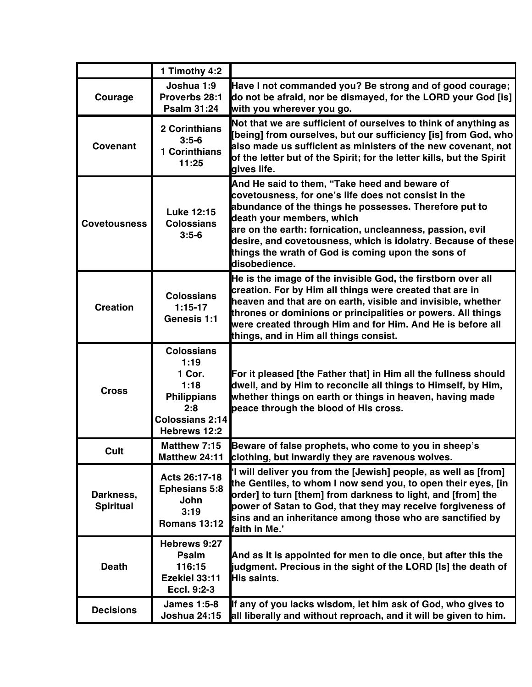|                               | 1 Timothy 4:2                                                                                                      |                                                                                                                                                                                                                                                                                                                                                                                                   |
|-------------------------------|--------------------------------------------------------------------------------------------------------------------|---------------------------------------------------------------------------------------------------------------------------------------------------------------------------------------------------------------------------------------------------------------------------------------------------------------------------------------------------------------------------------------------------|
| Courage                       | Joshua 1:9<br>Proverbs 28:1<br><b>Psalm 31:24</b>                                                                  | Have I not commanded you? Be strong and of good courage;<br>do not be afraid, nor be dismayed, for the LORD your God [is]<br>with you wherever you go.                                                                                                                                                                                                                                            |
| Covenant                      | 2 Corinthians<br>$3:5-6$<br><b>1 Corinthians</b><br>11:25                                                          | Not that we are sufficient of ourselves to think of anything as<br>[being] from ourselves, but our sufficiency [is] from God, who<br>also made us sufficient as ministers of the new covenant, not<br>of the letter but of the Spirit; for the letter kills, but the Spirit<br>gives life.                                                                                                        |
| <b>Covetousness</b>           | <b>Luke 12:15</b><br><b>Colossians</b><br>$3:5-6$                                                                  | And He said to them, "Take heed and beware of<br>covetousness, for one's life does not consist in the<br>abundance of the things he possesses. Therefore put to<br>death your members, which<br>are on the earth: fornication, uncleanness, passion, evil<br>desire, and covetousness, which is idolatry. Because of these<br>things the wrath of God is coming upon the sons of<br>disobedience. |
| <b>Creation</b>               | <b>Colossians</b><br>$1:15-17$<br>Genesis 1:1                                                                      | He is the image of the invisible God, the firstborn over all<br>creation. For by Him all things were created that are in<br>heaven and that are on earth, visible and invisible, whether<br>thrones or dominions or principalities or powers. All things<br>were created through Him and for Him. And He is before all<br>things, and in Him all things consist.                                  |
| <b>Cross</b>                  | <b>Colossians</b><br>1:19<br>1 Cor.<br>1:18<br><b>Philippians</b><br>2:8<br><b>Colossians 2:14</b><br>Hebrews 12:2 | For it pleased [the Father that] in Him all the fullness should<br>dwell, and by Him to reconcile all things to Himself, by Him,<br>whether things on earth or things in heaven, having made<br>peace through the blood of His cross.                                                                                                                                                             |
| Cult                          | <b>Matthew 7:15</b><br>Matthew 24:11                                                                               | Beware of false prophets, who come to you in sheep's<br>clothing, but inwardly they are ravenous wolves.                                                                                                                                                                                                                                                                                          |
| Darkness,<br><b>Spiritual</b> | Acts 26:17-18<br><b>Ephesians 5:8</b><br>John<br>3:19<br><b>Romans 13:12</b>                                       | 'I will deliver you from the [Jewish] people, as well as [from]<br>the Gentiles, to whom I now send you, to open their eyes, [in<br>order] to turn [them] from darkness to light, and [from] the<br>power of Satan to God, that they may receive forgiveness of<br>sins and an inheritance among those who are sanctified by<br>faith in Me.'                                                     |
| <b>Death</b>                  | Hebrews 9:27<br>Psalm<br>116:15<br>Ezekiel 33:11<br>Eccl. 9:2-3                                                    | And as it is appointed for men to die once, but after this the<br>judgment. Precious in the sight of the LORD [Is] the death of<br>His saints.                                                                                                                                                                                                                                                    |
| <b>Decisions</b>              | <b>James 1:5-8</b><br><b>Joshua 24:15</b>                                                                          | If any of you lacks wisdom, let him ask of God, who gives to<br>all liberally and without reproach, and it will be given to him.                                                                                                                                                                                                                                                                  |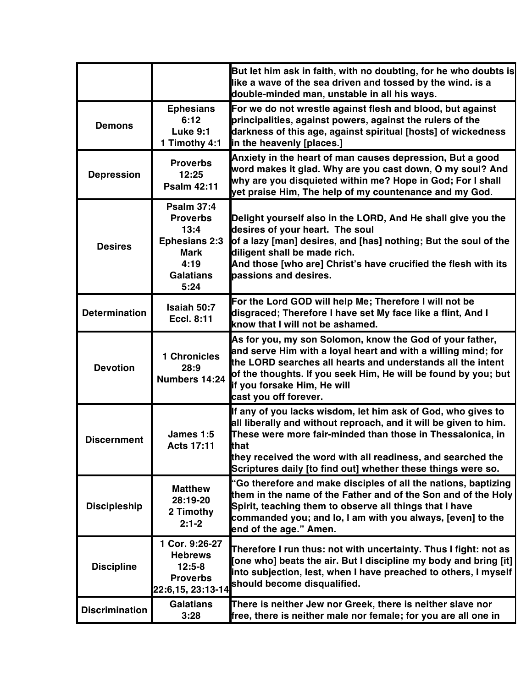|                       |                                                                                                                         | But let him ask in faith, with no doubting, for he who doubts is<br>like a wave of the sea driven and tossed by the wind. is a<br>double-minded man, unstable in all his ways.                                                                                                                                                        |
|-----------------------|-------------------------------------------------------------------------------------------------------------------------|---------------------------------------------------------------------------------------------------------------------------------------------------------------------------------------------------------------------------------------------------------------------------------------------------------------------------------------|
| <b>Demons</b>         | <b>Ephesians</b><br>6:12<br><b>Luke 9:1</b><br>1 Timothy 4:1                                                            | For we do not wrestle against flesh and blood, but against<br>principalities, against powers, against the rulers of the<br>darkness of this age, against spiritual [hosts] of wickedness<br>in the heavenly [places.]                                                                                                                 |
| <b>Depression</b>     | <b>Proverbs</b><br>12:25<br><b>Psalm 42:11</b>                                                                          | Anxiety in the heart of man causes depression, But a good<br>word makes it glad. Why are you cast down, O my soul? And<br>why are you disquieted within me? Hope in God; For I shall<br>yet praise Him, The help of my countenance and my God.                                                                                        |
| <b>Desires</b>        | <b>Psalm 37:4</b><br><b>Proverbs</b><br>13:4<br><b>Ephesians 2:3</b><br><b>Mark</b><br>4:19<br><b>Galatians</b><br>5:24 | Delight yourself also in the LORD, And He shall give you the<br>desires of your heart. The soul<br>of a lazy [man] desires, and [has] nothing; But the soul of the<br>diligent shall be made rich.<br>And those [who are] Christ's have crucified the flesh with its<br>passions and desires.                                         |
| <b>Determination</b>  | Isaiah 50:7<br><b>Eccl. 8:11</b>                                                                                        | For the Lord GOD will help Me; Therefore I will not be<br>disgraced; Therefore I have set My face like a flint, And I<br>know that I will not be ashamed.                                                                                                                                                                             |
| <b>Devotion</b>       | 1 Chronicles<br>28:9<br>Numbers 14:24                                                                                   | As for you, my son Solomon, know the God of your father,<br>and serve Him with a loyal heart and with a willing mind; for<br>the LORD searches all hearts and understands all the intent<br>of the thoughts. If you seek Him, He will be found by you; but<br>if you forsake Him, He will<br>cast you off forever.                    |
| <b>Discernment</b>    | James 1:5<br><b>Acts 17:11</b>                                                                                          | If any of you lacks wisdom, let him ask of God, who gives to<br>all liberally and without reproach, and it will be given to him.<br>These were more fair-minded than those in Thessalonica, in<br>that<br>they received the word with all readiness, and searched the<br>Scriptures daily [to find out] whether these things were so. |
| <b>Discipleship</b>   | <b>Matthew</b><br>28:19-20<br>2 Timothy<br>$2:1-2$                                                                      | "Go therefore and make disciples of all the nations, baptizing<br>them in the name of the Father and of the Son and of the Holy<br>Spirit, teaching them to observe all things that I have<br>commanded you; and lo, I am with you always, [even] to the<br>end of the age." Amen.                                                    |
| <b>Discipline</b>     | 1 Cor. 9:26-27<br><b>Hebrews</b><br>$12:5-8$<br><b>Proverbs</b><br>22:6,15, 23:13-14                                    | Therefore I run thus: not with uncertainty. Thus I fight: not as<br>[one who] beats the air. But I discipline my body and bring [it]<br>into subjection, lest, when I have preached to others, I myself<br>should become disqualified.                                                                                                |
| <b>Discrimination</b> | <b>Galatians</b><br>3:28                                                                                                | There is neither Jew nor Greek, there is neither slave nor<br>free, there is neither male nor female; for you are all one in                                                                                                                                                                                                          |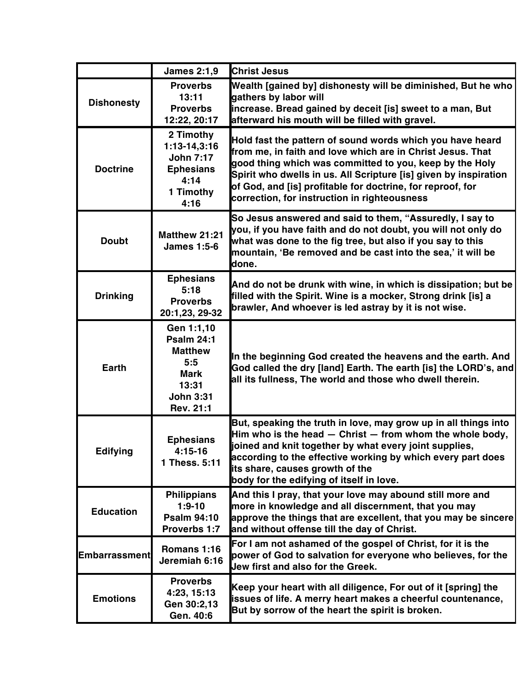|                      | <b>James 2:1,9</b>                                                                                                | <b>Christ Jesus</b>                                                                                                                                                                                                                                                                                                                                                  |
|----------------------|-------------------------------------------------------------------------------------------------------------------|----------------------------------------------------------------------------------------------------------------------------------------------------------------------------------------------------------------------------------------------------------------------------------------------------------------------------------------------------------------------|
| <b>Dishonesty</b>    | <b>Proverbs</b><br>13:11<br><b>Proverbs</b><br>12:22, 20:17                                                       | Wealth [gained by] dishonesty will be diminished, But he who<br>gathers by labor will<br>increase. Bread gained by deceit [is] sweet to a man, But<br>afterward his mouth will be filled with gravel.                                                                                                                                                                |
| <b>Doctrine</b>      | 2 Timothy<br>1:13-14,3:16<br><b>John 7:17</b><br><b>Ephesians</b><br>4:14<br>1 Timothy<br>4:16                    | Hold fast the pattern of sound words which you have heard<br>from me, in faith and love which are in Christ Jesus. That<br>good thing which was committed to you, keep by the Holy<br>Spirit who dwells in us. All Scripture [is] given by inspiration<br>of God, and [is] profitable for doctrine, for reproof, for<br>correction, for instruction in righteousness |
| <b>Doubt</b>         | <b>Matthew 21:21</b><br><b>James 1:5-6</b>                                                                        | So Jesus answered and said to them, "Assuredly, I say to<br>you, if you have faith and do not doubt, you will not only do<br>what was done to the fig tree, but also if you say to this<br>mountain, 'Be removed and be cast into the sea,' it will be<br>done.                                                                                                      |
| <b>Drinking</b>      | <b>Ephesians</b><br>5:18<br><b>Proverbs</b><br>20:1,23, 29-32                                                     | And do not be drunk with wine, in which is dissipation; but be<br>filled with the Spirit. Wine is a mocker, Strong drink [is] a<br>brawler, And whoever is led astray by it is not wise.                                                                                                                                                                             |
| <b>Earth</b>         | Gen 1:1,10<br><b>Psalm 24:1</b><br><b>Matthew</b><br>5:5<br><b>Mark</b><br>13:31<br><b>John 3:31</b><br>Rev. 21:1 | In the beginning God created the heavens and the earth. And<br>God called the dry [land] Earth. The earth [is] the LORD's, and<br>all its fullness, The world and those who dwell therein.                                                                                                                                                                           |
| <b>Edifying</b>      | <b>Ephesians</b><br>$4:15-16$<br>1 Thess. 5:11                                                                    | But, speaking the truth in love, may grow up in all things into<br>Him who is the head $-$ Christ $-$ from whom the whole body,<br>joined and knit together by what every joint supplies,<br>according to the effective working by which every part does<br>its share, causes growth of the<br>body for the edifying of itself in love.                              |
| <b>Education</b>     | <b>Philippians</b><br>$1:9-10$<br><b>Psalm 94:10</b><br>Proverbs 1:7                                              | And this I pray, that your love may abound still more and<br>more in knowledge and all discernment, that you may<br>approve the things that are excellent, that you may be sincere<br>and without offense till the day of Christ.                                                                                                                                    |
| <b>Embarrassment</b> | Romans 1:16<br>Jeremiah 6:16                                                                                      | For I am not ashamed of the gospel of Christ, for it is the<br>power of God to salvation for everyone who believes, for the<br>Jew first and also for the Greek.                                                                                                                                                                                                     |
| <b>Emotions</b>      | <b>Proverbs</b><br>4:23, 15:13<br>Gen 30:2,13<br>Gen. 40:6                                                        | Keep your heart with all diligence, For out of it [spring] the<br>issues of life. A merry heart makes a cheerful countenance,<br>But by sorrow of the heart the spirit is broken.                                                                                                                                                                                    |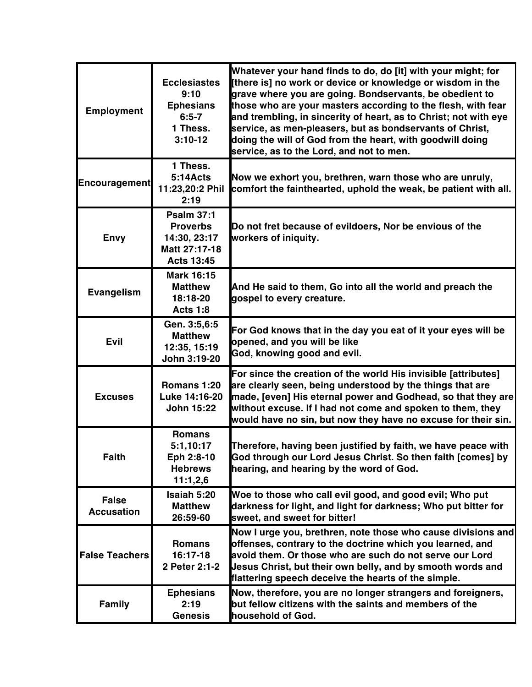| <b>Employment</b>                 | <b>Ecclesiastes</b><br>9:10<br><b>Ephesians</b><br>$6:5 - 7$<br>1 Thess.<br>$3:10-12$      | Whatever your hand finds to do, do [it] with your might; for<br>[there is] no work or device or knowledge or wisdom in the<br>grave where you are going. Bondservants, be obedient to<br>those who are your masters according to the flesh, with fear<br>and trembling, in sincerity of heart, as to Christ; not with eye<br>service, as men-pleasers, but as bondservants of Christ,<br>doing the will of God from the heart, with goodwill doing<br>service, as to the Lord, and not to men. |
|-----------------------------------|--------------------------------------------------------------------------------------------|------------------------------------------------------------------------------------------------------------------------------------------------------------------------------------------------------------------------------------------------------------------------------------------------------------------------------------------------------------------------------------------------------------------------------------------------------------------------------------------------|
| <b>Encouragement</b>              | 1 Thess.<br>5:14Acts<br>11:23,20:2 Phil<br>2:19                                            | Now we exhort you, brethren, warn those who are unruly,<br>comfort the fainthearted, uphold the weak, be patient with all.                                                                                                                                                                                                                                                                                                                                                                     |
| <b>Envy</b>                       | <b>Psalm 37:1</b><br><b>Proverbs</b><br>14:30, 23:17<br>Matt 27:17-18<br><b>Acts 13:45</b> | Do not fret because of evildoers, Nor be envious of the<br>workers of iniquity.                                                                                                                                                                                                                                                                                                                                                                                                                |
| <b>Evangelism</b>                 | <b>Mark 16:15</b><br><b>Matthew</b><br>18:18-20<br><b>Acts 1:8</b>                         | And He said to them, Go into all the world and preach the<br>gospel to every creature.                                                                                                                                                                                                                                                                                                                                                                                                         |
| <b>Evil</b>                       | Gen. 3:5,6:5<br><b>Matthew</b><br>12:35, 15:19<br>John 3:19-20                             | For God knows that in the day you eat of it your eyes will be<br>opened, and you will be like<br>God, knowing good and evil.                                                                                                                                                                                                                                                                                                                                                                   |
| <b>Excuses</b>                    | Romans 1:20<br>Luke 14:16-20<br><b>John 15:22</b>                                          | For since the creation of the world His invisible [attributes]<br>are clearly seen, being understood by the things that are<br>made, [even] His eternal power and Godhead, so that they are<br>without excuse. If I had not come and spoken to them, they<br>would have no sin, but now they have no excuse for their sin.                                                                                                                                                                     |
| <b>Faith</b>                      | <b>Romans</b><br>5:1,10:17<br>Eph 2:8-10<br><b>Hebrews</b><br>11:1,2,6                     | Therefore, having been justified by faith, we have peace with<br>God through our Lord Jesus Christ. So then faith [comes] by<br>hearing, and hearing by the word of God.                                                                                                                                                                                                                                                                                                                       |
| <b>False</b><br><b>Accusation</b> | Isaiah 5:20<br><b>Matthew</b><br>26:59-60                                                  | Woe to those who call evil good, and good evil; Who put<br>darkness for light, and light for darkness; Who put bitter for<br>sweet, and sweet for bitter!                                                                                                                                                                                                                                                                                                                                      |
| <b>False Teachers</b>             | <b>Romans</b><br>16:17-18<br>2 Peter 2:1-2                                                 | Now I urge you, brethren, note those who cause divisions and<br>offenses, contrary to the doctrine which you learned, and<br>avoid them. Or those who are such do not serve our Lord<br>Jesus Christ, but their own belly, and by smooth words and<br>flattering speech deceive the hearts of the simple.                                                                                                                                                                                      |
| <b>Family</b>                     | <b>Ephesians</b><br>2:19<br><b>Genesis</b>                                                 | Now, therefore, you are no longer strangers and foreigners,<br>but fellow citizens with the saints and members of the<br>household of God.                                                                                                                                                                                                                                                                                                                                                     |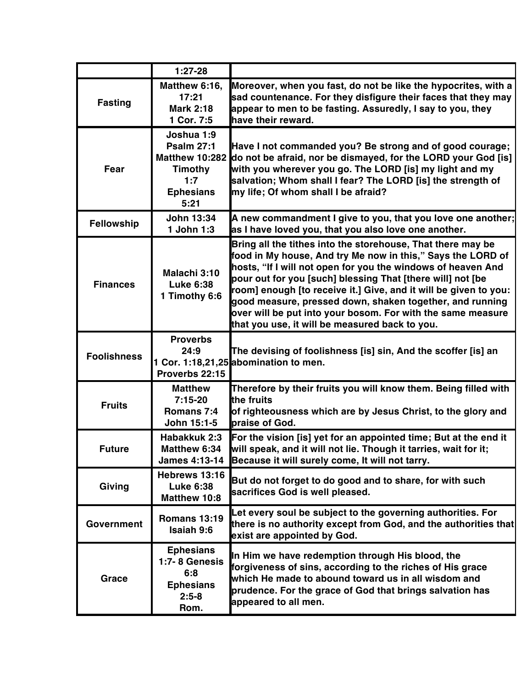|                    | $1:27-28$                                                                                                     |                                                                                                                                                                                                                                                                                                                                                                                                                                                                                                           |
|--------------------|---------------------------------------------------------------------------------------------------------------|-----------------------------------------------------------------------------------------------------------------------------------------------------------------------------------------------------------------------------------------------------------------------------------------------------------------------------------------------------------------------------------------------------------------------------------------------------------------------------------------------------------|
| <b>Fasting</b>     | Matthew 6:16,<br>17:21<br><b>Mark 2:18</b><br>1 Cor. 7:5                                                      | Moreover, when you fast, do not be like the hypocrites, with a<br>sad countenance. For they disfigure their faces that they may<br>appear to men to be fasting. Assuredly, I say to you, they<br>have their reward.                                                                                                                                                                                                                                                                                       |
| Fear               | Joshua 1:9<br><b>Psalm 27:1</b><br><b>Matthew 10:282</b><br><b>Timothy</b><br>1:7<br><b>Ephesians</b><br>5:21 | Have I not commanded you? Be strong and of good courage;<br>do not be afraid, nor be dismayed, for the LORD your God [is]<br>with you wherever you go. The LORD [is] my light and my<br>salvation; Whom shall I fear? The LORD [is] the strength of<br>my life; Of whom shall I be afraid?                                                                                                                                                                                                                |
| Fellowship         | <b>John 13:34</b><br>1 John 1:3                                                                               | A new commandment I give to you, that you love one another;<br>as I have loved you, that you also love one another.                                                                                                                                                                                                                                                                                                                                                                                       |
| <b>Finances</b>    | Malachi 3:10<br><b>Luke 6:38</b><br>1 Timothy 6:6                                                             | Bring all the tithes into the storehouse, That there may be<br>food in My house, And try Me now in this," Says the LORD of<br>hosts, "If I will not open for you the windows of heaven And<br>pour out for you [such] blessing That [there will] not [be<br>room] enough [to receive it.] Give, and it will be given to you:<br>good measure, pressed down, shaken together, and running<br>over will be put into your bosom. For with the same measure<br>that you use, it will be measured back to you. |
| <b>Foolishness</b> | <b>Proverbs</b><br>24:9<br>Proverbs 22:15                                                                     | The devising of foolishness [is] sin, And the scoffer [is] an<br>1 Cor. 1:18,21,25 abomination to men.                                                                                                                                                                                                                                                                                                                                                                                                    |
| <b>Fruits</b>      | <b>Matthew</b><br>$7:15-20$<br>Romans 7:4<br>John 15:1-5                                                      | Therefore by their fruits you will know them. Being filled with<br>the fruits<br>of righteousness which are by Jesus Christ, to the glory and<br>praise of God.                                                                                                                                                                                                                                                                                                                                           |
| <b>Future</b>      | Habakkuk 2:3<br><b>Matthew 6:34</b>                                                                           | For the vision [is] yet for an appointed time; But at the end it<br>will speak, and it will not lie. Though it tarries, wait for it;<br>James 4:13-14 Because it will surely come, It will not tarry.                                                                                                                                                                                                                                                                                                     |
| Giving             | Hebrews 13:16<br><b>Luke 6:38</b><br>Matthew 10:8                                                             | But do not forget to do good and to share, for with such<br>sacrifices God is well pleased.                                                                                                                                                                                                                                                                                                                                                                                                               |
| Government         | <b>Romans 13:19</b><br><b>Isaiah 9:6</b>                                                                      | Let every soul be subject to the governing authorities. For<br>there is no authority except from God, and the authorities that<br>exist are appointed by God.                                                                                                                                                                                                                                                                                                                                             |
| Grace              | <b>Ephesians</b><br>1:7-8 Genesis<br>6:8<br><b>Ephesians</b><br>$2:5 - 8$<br>Rom.                             | In Him we have redemption through His blood, the<br>forgiveness of sins, according to the riches of His grace<br>which He made to abound toward us in all wisdom and<br>prudence. For the grace of God that brings salvation has<br>appeared to all men.                                                                                                                                                                                                                                                  |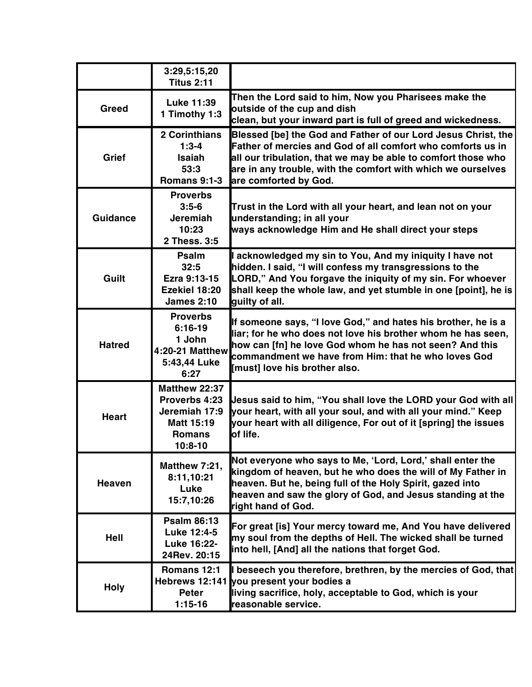|                 | 3:29,5:15,20<br><b>Titus 2:11</b>                                                           |                                                                                                                                                                                                                                                                                        |
|-----------------|---------------------------------------------------------------------------------------------|----------------------------------------------------------------------------------------------------------------------------------------------------------------------------------------------------------------------------------------------------------------------------------------|
| Greed           | Luke 11:39<br>1 Timothy 1:3                                                                 | Then the Lord said to him, Now you Pharisees make the<br>outside of the cup and dish<br>clean, but your inward part is full of greed and wickedness.                                                                                                                                   |
| Grief           | <b>2 Corinthians</b><br>$1:3-4$<br><b>Isaiah</b><br>53:3<br><b>Romans 9:1-3</b>             | Blessed [be] the God and Father of our Lord Jesus Christ, the<br>Father of mercies and God of all comfort who comforts us in<br>all our tribulation, that we may be able to comfort those who<br>are in any trouble, with the comfort with which we ourselves<br>are comforted by God. |
| <b>Guidance</b> | <b>Proverbs</b><br>$3:5-6$<br><b>Jeremiah</b><br>10:23<br>2 Thess. 3:5                      | Trust in the Lord with all your heart, and lean not on your<br>understanding; in all your<br>ways acknowledge Him and He shall direct your steps                                                                                                                                       |
| Guilt           | <b>Psalm</b><br>32:5<br>Ezra 9:13-15<br>Ezekiel 18:20<br><b>James 2:10</b>                  | acknowledged my sin to You, And my iniquity I have not<br>hidden. I said, "I will confess my transgressions to the<br>LORD," And You forgave the iniquity of my sin. For whoever<br>shall keep the whole law, and yet stumble in one [point], he is<br>guilty of all.                  |
| <b>Hatred</b>   | <b>Proverbs</b><br>$6:16-19$<br>1 John<br><b>4:20-21 Matthew</b><br>5:43,44 Luke<br>6:27    | If someone says, "I love God," and hates his brother, he is a<br>liar; for he who does not love his brother whom he has seen,<br>how can [fn] he love God whom he has not seen? And this<br>commandment we have from Him: that he who loves God<br>[must] love his brother also.       |
| <b>Heart</b>    | Matthew 22:37<br>Proverbs 4:23<br>Jeremiah 17:9<br>Matt 15:19<br><b>Romans</b><br>$10:8-10$ | Jesus said to him, "You shall love the LORD your God with all<br>your heart, with all your soul, and with all your mind." Keep<br>your heart with all diligence, For out of it [spring] the issues<br>of life.                                                                         |
| <b>Heaven</b>   | Matthew 7:21,<br>8:11,10:21<br>Luke<br>15:7,10:26                                           | Not everyone who says to Me, 'Lord, Lord,' shall enter the<br>kingdom of heaven, but he who does the will of My Father in<br>heaven. But he, being full of the Holy Spirit, gazed into<br>heaven and saw the glory of God, and Jesus standing at the<br>right hand of God.             |
| Hell            | <b>Psalm 86:13</b><br>Luke 12:4-5<br>Luke 16:22-<br>24Rev. 20:15                            | For great [is] Your mercy toward me, And You have delivered<br>my soul from the depths of Hell. The wicked shall be turned<br>into hell, [And] all the nations that forget God.                                                                                                        |
| <b>Holy</b>     | Romans 12:1<br>Peter<br>$1:15-16$                                                           | I beseech you therefore, brethren, by the mercies of God, that<br>Hebrews 12:141 you present your bodies a<br>living sacrifice, holy, acceptable to God, which is your<br>reasonable service.                                                                                          |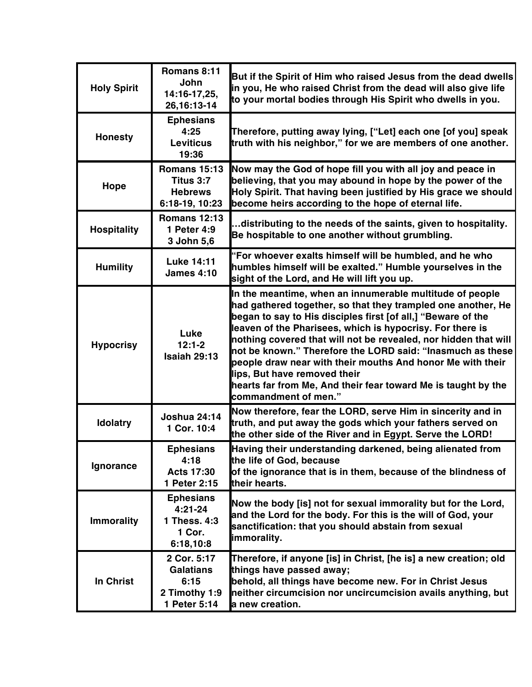| <b>Holy Spirit</b> | Romans 8:11<br><b>John</b><br>14:16-17,25,<br>26, 16: 13-14              | But if the Spirit of Him who raised Jesus from the dead dwells<br>in you, He who raised Christ from the dead will also give life<br>to your mortal bodies through His Spirit who dwells in you.                                                                                                                                                                                                                                                                                                                                                                               |
|--------------------|--------------------------------------------------------------------------|-------------------------------------------------------------------------------------------------------------------------------------------------------------------------------------------------------------------------------------------------------------------------------------------------------------------------------------------------------------------------------------------------------------------------------------------------------------------------------------------------------------------------------------------------------------------------------|
| <b>Honesty</b>     | <b>Ephesians</b><br>4:25<br><b>Leviticus</b><br>19:36                    | Therefore, putting away lying, ["Let] each one [of you] speak<br>truth with his neighbor," for we are members of one another.                                                                                                                                                                                                                                                                                                                                                                                                                                                 |
| Hope               | <b>Romans 15:13</b><br>Titus 3:7<br><b>Hebrews</b><br>6:18-19, 10:23     | Now may the God of hope fill you with all joy and peace in<br>believing, that you may abound in hope by the power of the<br>Holy Spirit. That having been justified by His grace we should<br>become heirs according to the hope of eternal life.                                                                                                                                                                                                                                                                                                                             |
| <b>Hospitality</b> | <b>Romans 12:13</b><br>1 Peter 4:9<br>3 John 5,6                         | distributing to the needs of the saints, given to hospitality.<br>Be hospitable to one another without grumbling.                                                                                                                                                                                                                                                                                                                                                                                                                                                             |
| <b>Humility</b>    | <b>Luke 14:11</b><br><b>James 4:10</b>                                   | "For whoever exalts himself will be humbled, and he who<br>humbles himself will be exalted." Humble yourselves in the<br>sight of the Lord, and He will lift you up.                                                                                                                                                                                                                                                                                                                                                                                                          |
| <b>Hypocrisy</b>   | Luke<br>$12:1-2$<br><b>Isaiah 29:13</b>                                  | In the meantime, when an innumerable multitude of people<br>had gathered together, so that they trampled one another, He<br>began to say to His disciples first [of all,] "Beware of the<br>leaven of the Pharisees, which is hypocrisy. For there is<br>nothing covered that will not be revealed, nor hidden that will<br>not be known." Therefore the LORD said: "Inasmuch as these<br>people draw near with their mouths And honor Me with their<br>lips, But have removed their<br>hearts far from Me, And their fear toward Me is taught by the<br>commandment of men." |
| <b>Idolatry</b>    | <b>Joshua 24:14</b><br>1 Cor. 10:4                                       | Now therefore, fear the LORD, serve Him in sincerity and in<br>truth, and put away the gods which your fathers served on<br>the other side of the River and in Egypt. Serve the LORD!                                                                                                                                                                                                                                                                                                                                                                                         |
| Ignorance          | <b>Ephesians</b><br>4:18<br><b>Acts 17:30</b><br>1 Peter 2:15            | Having their understanding darkened, being alienated from<br>the life of God, because<br>of the ignorance that is in them, because of the blindness of<br>their hearts.                                                                                                                                                                                                                                                                                                                                                                                                       |
| <b>Immorality</b>  | <b>Ephesians</b><br>$4:21-24$<br>1 Thess. 4:3<br>1 Cor.<br>6:18,10:8     | Now the body [is] not for sexual immorality but for the Lord,<br>and the Lord for the body. For this is the will of God, your<br>sanctification: that you should abstain from sexual<br>immorality.                                                                                                                                                                                                                                                                                                                                                                           |
| In Christ          | 2 Cor. 5:17<br><b>Galatians</b><br>6:15<br>2 Timothy 1:9<br>1 Peter 5:14 | Therefore, if anyone [is] in Christ, [he is] a new creation; old<br>things have passed away;<br>behold, all things have become new. For in Christ Jesus<br>neither circumcision nor uncircumcision avails anything, but<br>a new creation.                                                                                                                                                                                                                                                                                                                                    |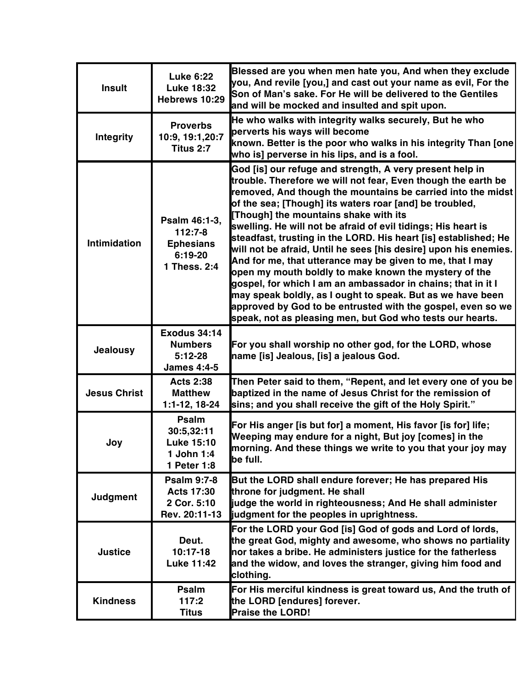| <b>Insult</b>       | <b>Luke 6:22</b><br><b>Luke 18:32</b><br>Hebrews 10:29                    | Blessed are you when men hate you, And when they exclude<br>you, And revile [you,] and cast out your name as evil, For the<br>Son of Man's sake. For He will be delivered to the Gentiles<br>and will be mocked and insulted and spit upon.                                                                                                                                                                                                                                                                                                                                                                                                                                                                                                                                                                                                                                          |
|---------------------|---------------------------------------------------------------------------|--------------------------------------------------------------------------------------------------------------------------------------------------------------------------------------------------------------------------------------------------------------------------------------------------------------------------------------------------------------------------------------------------------------------------------------------------------------------------------------------------------------------------------------------------------------------------------------------------------------------------------------------------------------------------------------------------------------------------------------------------------------------------------------------------------------------------------------------------------------------------------------|
| <b>Integrity</b>    | <b>Proverbs</b><br>10:9, 19:1, 20:7<br>Titus 2:7                          | He who walks with integrity walks securely, But he who<br>perverts his ways will become<br>known. Better is the poor who walks in his integrity Than [one]<br>who is] perverse in his lips, and is a fool.                                                                                                                                                                                                                                                                                                                                                                                                                                                                                                                                                                                                                                                                           |
| Intimidation        | Psalm 46:1-3,<br>$112:7-8$<br><b>Ephesians</b><br>6:19-20<br>1 Thess. 2:4 | God [is] our refuge and strength, A very present help in<br>trouble. Therefore we will not fear, Even though the earth be<br>removed, And though the mountains be carried into the midst<br>of the sea; [Though] its waters roar [and] be troubled,<br>[Though] the mountains shake with its<br>swelling. He will not be afraid of evil tidings; His heart is<br>steadfast, trusting in the LORD. His heart [is] established; He<br>will not be afraid, Until he sees [his desire] upon his enemies.<br>And for me, that utterance may be given to me, that I may<br>open my mouth boldly to make known the mystery of the<br>gospel, for which I am an ambassador in chains; that in it I<br>may speak boldly, as I ought to speak. But as we have been<br>approved by God to be entrusted with the gospel, even so we<br>speak, not as pleasing men, but God who tests our hearts. |
| <b>Jealousy</b>     | <b>Exodus 34:14</b><br><b>Numbers</b><br>$5:12-28$<br><b>James 4:4-5</b>  | For you shall worship no other god, for the LORD, whose<br>name [is] Jealous, [is] a jealous God.                                                                                                                                                                                                                                                                                                                                                                                                                                                                                                                                                                                                                                                                                                                                                                                    |
| <b>Jesus Christ</b> | <b>Acts 2:38</b><br><b>Matthew</b><br>1:1-12, 18-24                       | Then Peter said to them, "Repent, and let every one of you be<br>baptized in the name of Jesus Christ for the remission of<br>sins; and you shall receive the gift of the Holy Spirit."                                                                                                                                                                                                                                                                                                                                                                                                                                                                                                                                                                                                                                                                                              |
| Joy                 | Psalm<br>30:5,32:11<br><b>Luke 15:10</b><br>1 John 1:4<br>1 Peter 1:8     | For His anger [is but for] a moment, His favor [is for] life;<br>Weeping may endure for a night, But joy [comes] in the<br>morning. And these things we write to you that your joy may<br>be full.                                                                                                                                                                                                                                                                                                                                                                                                                                                                                                                                                                                                                                                                                   |
| Judgment            | <b>Psalm 9:7-8</b><br><b>Acts 17:30</b><br>2 Cor. 5:10<br>Rev. 20:11-13   | But the LORD shall endure forever; He has prepared His<br>throne for judgment. He shall<br>judge the world in righteousness; And He shall administer<br>judgment for the peoples in uprightness.                                                                                                                                                                                                                                                                                                                                                                                                                                                                                                                                                                                                                                                                                     |
| <b>Justice</b>      | Deut.<br>$10:17-18$<br><b>Luke 11:42</b>                                  | For the LORD your God [is] God of gods and Lord of lords,<br>the great God, mighty and awesome, who shows no partiality<br>nor takes a bribe. He administers justice for the fatherless<br>and the widow, and loves the stranger, giving him food and<br>clothing.                                                                                                                                                                                                                                                                                                                                                                                                                                                                                                                                                                                                                   |
| <b>Kindness</b>     | <b>Psalm</b><br>117:2<br><b>Titus</b>                                     | For His merciful kindness is great toward us, And the truth of<br>the LORD [endures] forever.<br><b>Praise the LORD!</b>                                                                                                                                                                                                                                                                                                                                                                                                                                                                                                                                                                                                                                                                                                                                                             |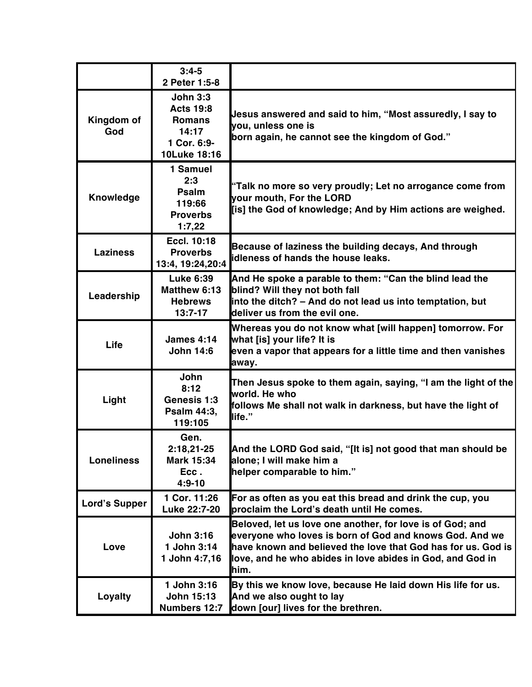|                      | $3:4-5$<br>2 Peter 1:5-8                                                                     |                                                                                                                                                                                                                                                           |
|----------------------|----------------------------------------------------------------------------------------------|-----------------------------------------------------------------------------------------------------------------------------------------------------------------------------------------------------------------------------------------------------------|
| Kingdom of<br>God    | <b>John 3:3</b><br><b>Acts 19:8</b><br><b>Romans</b><br>14:17<br>1 Cor. 6:9-<br>10Luke 18:16 | Jesus answered and said to him, "Most assuredly, I say to<br>you, unless one is<br>born again, he cannot see the kingdom of God."                                                                                                                         |
| Knowledge            | 1 Samuel<br>2:3<br>Psalm<br>119:66<br><b>Proverbs</b><br>1:7,22                              | "Talk no more so very proudly; Let no arrogance come from<br>your mouth, For the LORD<br>[is] the God of knowledge; And by Him actions are weighed.                                                                                                       |
| <b>Laziness</b>      | <b>Eccl. 10:18</b><br><b>Proverbs</b><br>13:4, 19:24, 20:4                                   | Because of laziness the building decays, And through<br>idleness of hands the house leaks.                                                                                                                                                                |
| Leadership           | <b>Luke 6:39</b><br><b>Matthew 6:13</b><br><b>Hebrews</b><br>$13:7-17$                       | And He spoke a parable to them: "Can the blind lead the<br>blind? Will they not both fall<br>into the ditch? - And do not lead us into temptation, but<br>deliver us from the evil one.                                                                   |
| Life                 | <b>James 4:14</b><br><b>John 14:6</b>                                                        | Whereas you do not know what [will happen] tomorrow. For<br>what [is] your life? It is<br>even a vapor that appears for a little time and then vanishes<br>away.                                                                                          |
| Light                | John<br>8:12<br>Genesis 1:3<br>Psalm 44:3,<br>119:105                                        | Then Jesus spoke to them again, saying, "I am the light of the<br>world. He who<br>follows Me shall not walk in darkness, but have the light of<br>life."                                                                                                 |
| <b>Loneliness</b>    | Gen.<br>2:18,21-25<br>Mark 15:34<br>Ecc.<br>$4:9 - 10$                                       | And the LORD God said, "[It is] not good that man should be<br>alone; I will make him a<br>helper comparable to him."                                                                                                                                     |
| <b>Lord's Supper</b> | 1 Cor. 11:26<br>Luke 22:7-20                                                                 | For as often as you eat this bread and drink the cup, you<br>proclaim the Lord's death until He comes.                                                                                                                                                    |
| Love                 | <b>John 3:16</b><br>1 John 3:14<br>1 John 4:7,16                                             | Beloved, let us love one another, for love is of God; and<br>everyone who loves is born of God and knows God. And we<br>have known and believed the love that God has for us. God is<br>love, and he who abides in love abides in God, and God in<br>him. |
| Loyalty              | 1 John 3:16<br><b>John 15:13</b><br>Numbers 12:7                                             | By this we know love, because He laid down His life for us.<br>And we also ought to lay<br>down [our] lives for the brethren.                                                                                                                             |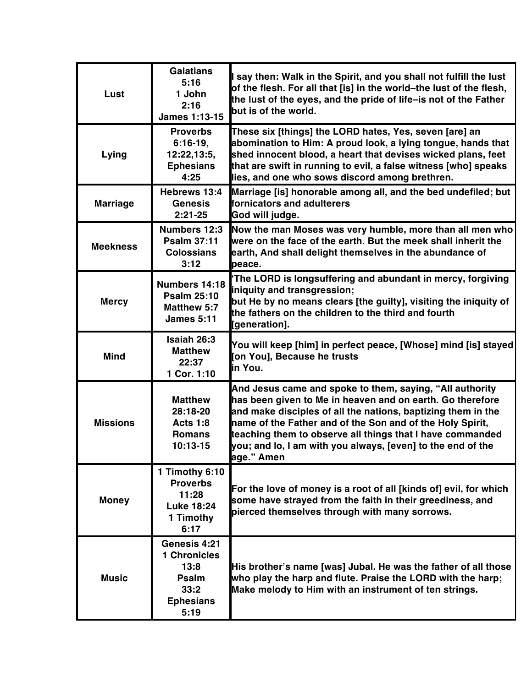| Lust            | <b>Galatians</b><br>5:16<br>1 John<br>2:16<br>James 1:13-15                              | I say then: Walk in the Spirit, and you shall not fulfill the lust<br>of the flesh. For all that [is] in the world-the lust of the flesh,<br>the lust of the eyes, and the pride of life-is not of the Father<br>but is of the world.                                                                                                                                                        |
|-----------------|------------------------------------------------------------------------------------------|----------------------------------------------------------------------------------------------------------------------------------------------------------------------------------------------------------------------------------------------------------------------------------------------------------------------------------------------------------------------------------------------|
| Lying           | <b>Proverbs</b><br>$6:16-19,$<br>12:22,13:5,<br><b>Ephesians</b><br>4:25                 | These six [things] the LORD hates, Yes, seven [are] an<br>abomination to Him: A proud look, a lying tongue, hands that<br>shed innocent blood, a heart that devises wicked plans, feet<br>that are swift in running to evil, a false witness [who] speaks<br>lies, and one who sows discord among brethren.                                                                                  |
| <b>Marriage</b> | Hebrews 13:4<br><b>Genesis</b><br>$2:21-25$                                              | Marriage [is] honorable among all, and the bed undefiled; but<br>fornicators and adulterers<br>God will judge.                                                                                                                                                                                                                                                                               |
| <b>Meekness</b> | <b>Numbers 12:3</b><br><b>Psalm 37:11</b><br><b>Colossians</b><br>3:12                   | Now the man Moses was very humble, more than all men who<br>were on the face of the earth. But the meek shall inherit the<br>earth, And shall delight themselves in the abundance of<br>peace.                                                                                                                                                                                               |
| <b>Mercy</b>    | Numbers 14:18<br><b>Psalm 25:10</b><br><b>Matthew 5:7</b><br><b>James 5:11</b>           | 'The LORD is longsuffering and abundant in mercy, forgiving<br>iniquity and transgression;<br>but He by no means clears [the guilty], visiting the iniquity of<br>the fathers on the children to the third and fourth<br>[generation].                                                                                                                                                       |
| <b>Mind</b>     | Isaiah 26:3<br><b>Matthew</b><br>22:37<br>1 Cor. 1:10                                    | You will keep [him] in perfect peace, [Whose] mind [is] stayed <br>[on You], Because he trusts<br>in You.                                                                                                                                                                                                                                                                                    |
| <b>Missions</b> | <b>Matthew</b><br>28:18-20<br><b>Acts 1:8</b><br><b>Romans</b><br>10:13-15               | And Jesus came and spoke to them, saying, "All authority<br>has been given to Me in heaven and on earth. Go therefore<br>and make disciples of all the nations, baptizing them in the<br>name of the Father and of the Son and of the Holy Spirit,<br>teaching them to observe all things that I have commanded<br>you; and lo, I am with you always, [even] to the end of the<br>age." Amen |
| <b>Money</b>    | 1 Timothy 6:10<br><b>Proverbs</b><br>11:28<br><b>Luke 18:24</b><br>1 Timothy<br>6:17     | For the love of money is a root of all [kinds of] evil, for which<br>some have strayed from the faith in their greediness, and<br>pierced themselves through with many sorrows.                                                                                                                                                                                                              |
| <b>Music</b>    | Genesis 4:21<br><b>1 Chronicles</b><br>13:8<br>Psalm<br>33:2<br><b>Ephesians</b><br>5:19 | His brother's name [was] Jubal. He was the father of all those<br>who play the harp and flute. Praise the LORD with the harp;<br>Make melody to Him with an instrument of ten strings.                                                                                                                                                                                                       |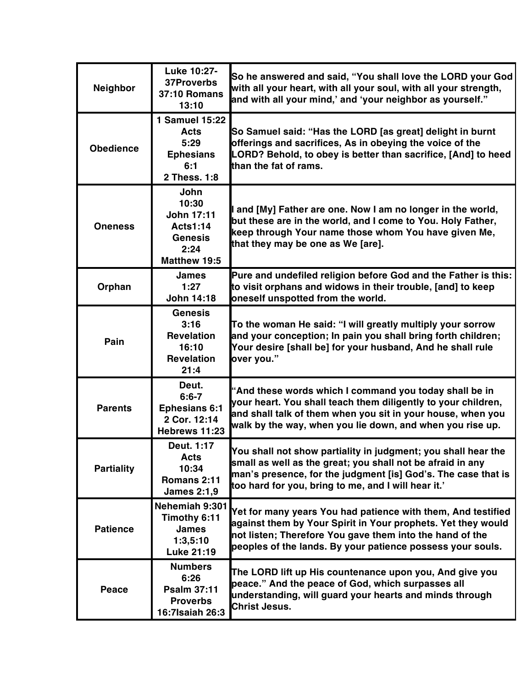| <b>Neighbor</b>   | Luke 10:27-<br>37Proverbs<br><b>37:10 Romans</b><br>13:10                                              | So he answered and said, "You shall love the LORD your God<br>with all your heart, with all your soul, with all your strength,<br>and with all your mind,' and 'your neighbor as yourself."                                                            |
|-------------------|--------------------------------------------------------------------------------------------------------|--------------------------------------------------------------------------------------------------------------------------------------------------------------------------------------------------------------------------------------------------------|
| <b>Obedience</b>  | 1 Samuel 15:22<br>Acts<br>5:29<br><b>Ephesians</b><br>6:1<br>2 Thess, 1:8                              | So Samuel said: "Has the LORD [as great] delight in burnt<br>offerings and sacrifices, As in obeying the voice of the<br>LORD? Behold, to obey is better than sacrifice, [And] to heed<br>than the fat of rams.                                        |
| <b>Oneness</b>    | <b>John</b><br>10:30<br><b>John 17:11</b><br><b>Acts1:14</b><br><b>Genesis</b><br>2:24<br>Matthew 19:5 | I and [My] Father are one. Now I am no longer in the world,<br>but these are in the world, and I come to You. Holy Father,<br>keep through Your name those whom You have given Me,<br>that they may be one as We [are].                                |
| Orphan            | <b>James</b><br>1:27<br><b>John 14:18</b>                                                              | Pure and undefiled religion before God and the Father is this:<br>to visit orphans and widows in their trouble, [and] to keep<br>oneself unspotted from the world.                                                                                     |
| Pain              | <b>Genesis</b><br>3:16<br><b>Revelation</b><br>16:10<br><b>Revelation</b><br>21:4                      | To the woman He said: "I will greatly multiply your sorrow<br>and your conception; In pain you shall bring forth children;<br>Your desire [shall be] for your husband, And he shall rule<br>over you."                                                 |
| <b>Parents</b>    | Deut.<br>$6:6 - 7$<br><b>Ephesians 6:1</b><br>2 Cor. 12:14<br>Hebrews 11:23                            | "And these words which I command you today shall be in<br>your heart. You shall teach them diligently to your children,<br>and shall talk of them when you sit in your house, when you<br>walk by the way, when you lie down, and when you rise up.    |
| <b>Partiality</b> | Deut. 1:17<br><b>Acts</b><br>10:34<br>Romans 2:11<br><b>James 2:1,9</b>                                | You shall not show partiality in judgment; you shall hear the<br>small as well as the great; you shall not be afraid in any<br>man's presence, for the judgment [is] God's. The case that is<br>too hard for you, bring to me, and I will hear it.'    |
| <b>Patience</b>   | Nehemiah 9:301<br>Timothy 6:11<br><b>James</b><br>1:3.5:10<br>Luke 21:19                               | Yet for many years You had patience with them, And testified<br>against them by Your Spirit in Your prophets. Yet they would<br>not listen; Therefore You gave them into the hand of the<br>peoples of the lands. By your patience possess your souls. |
| Peace             | <b>Numbers</b><br>6:26<br><b>Psalm 37:11</b><br><b>Proverbs</b><br>16:7Isaiah 26:3                     | The LORD lift up His countenance upon you, And give you<br>peace." And the peace of God, which surpasses all<br>understanding, will guard your hearts and minds through<br><b>Christ Jesus.</b>                                                        |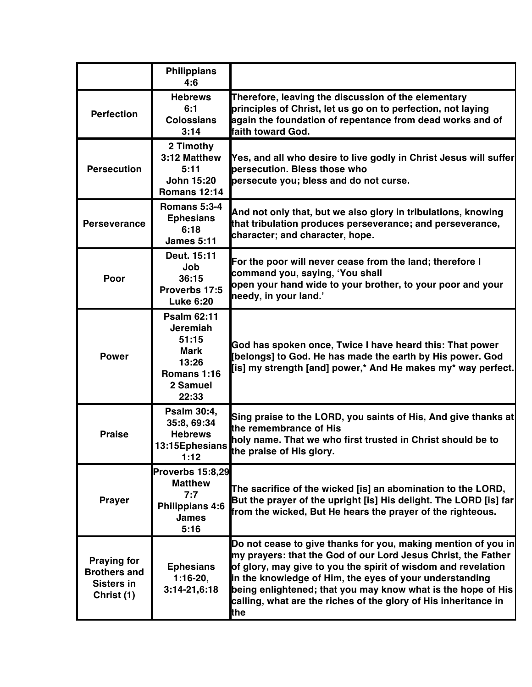|                                                                              | <b>Philippians</b><br>4:6                                                                           |                                                                                                                                                                                                                                                                                                                                                                                                      |
|------------------------------------------------------------------------------|-----------------------------------------------------------------------------------------------------|------------------------------------------------------------------------------------------------------------------------------------------------------------------------------------------------------------------------------------------------------------------------------------------------------------------------------------------------------------------------------------------------------|
| <b>Perfection</b>                                                            | <b>Hebrews</b><br>6:1<br><b>Colossians</b><br>3:14                                                  | Therefore, leaving the discussion of the elementary<br>principles of Christ, let us go on to perfection, not laying<br>again the foundation of repentance from dead works and of<br>faith toward God.                                                                                                                                                                                                |
| <b>Persecution</b>                                                           | 2 Timothy<br>3:12 Matthew<br>5:11<br><b>John 15:20</b><br><b>Romans 12:14</b>                       | [Yes, and all who desire to live godly in Christ Jesus will suffer<br>bersecution. Bless those who<br>persecute you; bless and do not curse.                                                                                                                                                                                                                                                         |
| <b>Perseverance</b>                                                          | <b>Romans 5:3-4</b><br><b>Ephesians</b><br>6:18<br><b>James 5:11</b>                                | And not only that, but we also glory in tribulations, knowing<br>that tribulation produces perseverance; and perseverance,<br>character; and character, hope.                                                                                                                                                                                                                                        |
| Poor                                                                         | Deut. 15:11<br>Job<br>36:15<br>Proverbs 17:5<br><b>Luke 6:20</b>                                    | For the poor will never cease from the land; therefore I<br>command you, saying, 'You shall<br>open your hand wide to your brother, to your poor and your<br>needy, in your land.'                                                                                                                                                                                                                   |
| <b>Power</b>                                                                 | <b>Psalm 62:11</b><br><b>Jeremiah</b><br>51:15<br>Mark<br>13:26<br>Romans 1:16<br>2 Samuel<br>22:33 | God has spoken once, Twice I have heard this: That power<br>[belongs] to God. He has made the earth by His power. God<br>[is] my strength [and] power,* And He makes my* way perfect.                                                                                                                                                                                                                |
| <b>Praise</b>                                                                | Psalm 30:4,<br>35:8, 69:34<br><b>Hebrews</b>                                                        | Sing praise to the LORD, you saints of His, And give thanks at<br>the remembrance of His<br>holy name. That we who first trusted in Christ should be to<br>13:15Ephesians the praise of His glory.                                                                                                                                                                                                   |
| <b>Prayer</b>                                                                | <b>Proverbs 15:8,29</b><br><b>Matthew</b><br>7:7<br><b>Philippians 4:6</b><br><b>James</b><br>5:16  | The sacrifice of the wicked [is] an abomination to the LORD,<br>But the prayer of the upright [is] His delight. The LORD [is] far<br>from the wicked, But He hears the prayer of the righteous.                                                                                                                                                                                                      |
| <b>Praying for</b><br><b>Brothers and</b><br><b>Sisters in</b><br>Christ (1) | <b>Ephesians</b><br>$1:16-20,$<br>$3:14-21,6:18$                                                    | Do not cease to give thanks for you, making mention of you in<br>my prayers: that the God of our Lord Jesus Christ, the Father<br>of glory, may give to you the spirit of wisdom and revelation<br>in the knowledge of Him, the eyes of your understanding<br>being enlightened; that you may know what is the hope of His<br>calling, what are the riches of the glory of His inheritance in<br>the |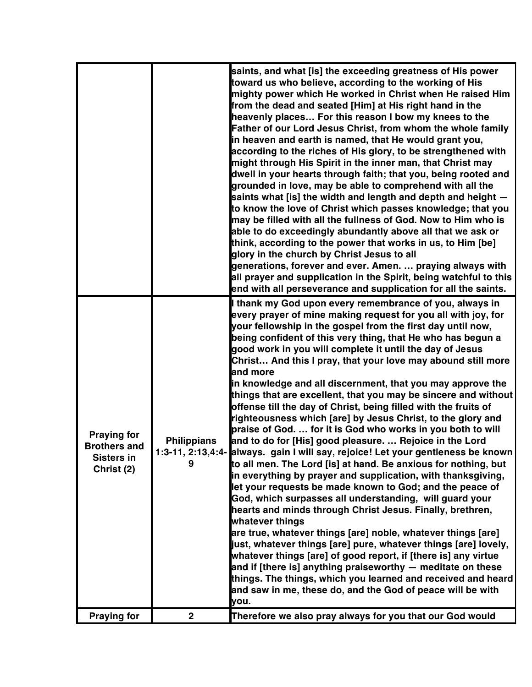|                                                                              |                         | saints, and what [is] the exceeding greatness of His power<br>toward us who believe, according to the working of His<br>mighty power which He worked in Christ when He raised Him<br>from the dead and seated [Him] at His right hand in the<br>heavenly places For this reason I bow my knees to the<br><b>Father of our Lord Jesus Christ, from whom the whole family</b><br>in heaven and earth is named, that He would grant you,<br>according to the riches of His glory, to be strengthened with<br>might through His Spirit in the inner man, that Christ may<br>dwell in your hearts through faith; that you, being rooted and<br>grounded in love, may be able to comprehend with all the<br>saints what [is] the width and length and depth and height -<br>to know the love of Christ which passes knowledge; that you<br>may be filled with all the fullness of God. Now to Him who is<br>able to do exceedingly abundantly above all that we ask or<br>think, according to the power that works in us, to Him [be]<br>glory in the church by Christ Jesus to all<br>generations, forever and ever. Amen.  praying always with<br>all prayer and supplication in the Spirit, being watchful to this<br>end with all perseverance and supplication for all the saints.                                                                                                                                                                                                                                                                                                                                                   |
|------------------------------------------------------------------------------|-------------------------|-------------------------------------------------------------------------------------------------------------------------------------------------------------------------------------------------------------------------------------------------------------------------------------------------------------------------------------------------------------------------------------------------------------------------------------------------------------------------------------------------------------------------------------------------------------------------------------------------------------------------------------------------------------------------------------------------------------------------------------------------------------------------------------------------------------------------------------------------------------------------------------------------------------------------------------------------------------------------------------------------------------------------------------------------------------------------------------------------------------------------------------------------------------------------------------------------------------------------------------------------------------------------------------------------------------------------------------------------------------------------------------------------------------------------------------------------------------------------------------------------------------------------------------------------------------------------------------------------------------------------------------|
| <b>Praying for</b><br><b>Brothers and</b><br><b>Sisters in</b><br>Christ (2) | <b>Philippians</b><br>9 | I thank my God upon every remembrance of you, always in<br>every prayer of mine making request for you all with joy, for<br>your fellowship in the gospel from the first day until now,<br>being confident of this very thing, that He who has begun a<br>good work in you will complete it until the day of Jesus<br>Christ And this I pray, that your love may abound still more<br>and more<br>in knowledge and all discernment, that you may approve the<br>things that are excellent, that you may be sincere and without<br>offense till the day of Christ, being filled with the fruits of<br>righteousness which [are] by Jesus Christ, to the glory and<br>praise of God.  for it is God who works in you both to will<br>and to do for [His] good pleasure.  Rejoice in the Lord<br>1:3-11, 2:13,4:4- always. gain I will say, rejoice! Let your gentleness be known<br>to all men. The Lord [is] at hand. Be anxious for nothing, but<br>in everything by prayer and supplication, with thanksgiving,<br>let your requests be made known to God; and the peace of<br>God, which surpasses all understanding, will guard your<br>hearts and minds through Christ Jesus. Finally, brethren,<br>whatever things<br>are true, whatever things [are] noble, whatever things [are]<br>just, whatever things [are] pure, whatever things [are] lovely,<br>whatever things [are] of good report, if [there is] any virtue<br>and if [there is] anything praiseworthy $-$ meditate on these<br>things. The things, which you learned and received and heard<br>and saw in me, these do, and the God of peace will be with<br>you. |
| <b>Praying for</b>                                                           | $\mathbf{2}$            | Therefore we also pray always for you that our God would                                                                                                                                                                                                                                                                                                                                                                                                                                                                                                                                                                                                                                                                                                                                                                                                                                                                                                                                                                                                                                                                                                                                                                                                                                                                                                                                                                                                                                                                                                                                                                            |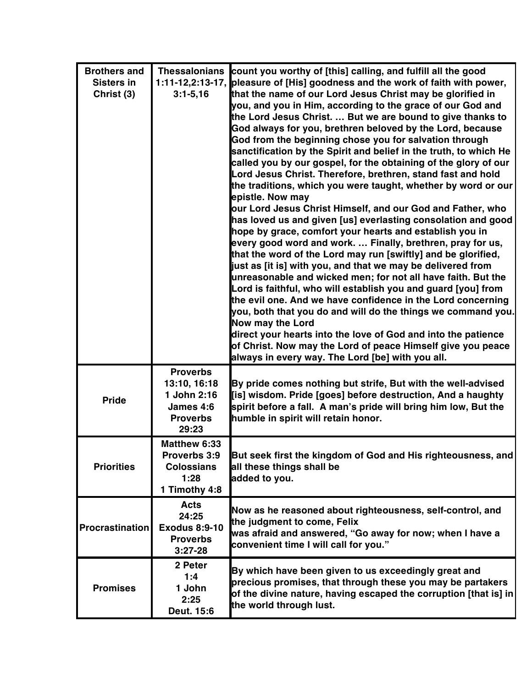| <b>Brothers and</b>    |                      | Thessalonians count you worthy of [this] calling, and fulfill all the good                                                   |
|------------------------|----------------------|------------------------------------------------------------------------------------------------------------------------------|
| <b>Sisters in</b>      |                      | 1:11-12,2:13-17, pleasure of [His] goodness and the work of faith with power,                                                |
| Christ (3)             | $3:1 - 5,16$         | that the name of our Lord Jesus Christ may be glorified in                                                                   |
|                        |                      | you, and you in Him, according to the grace of our God and                                                                   |
|                        |                      | the Lord Jesus Christ.  But we are bound to give thanks to                                                                   |
|                        |                      | God always for you, brethren beloved by the Lord, because                                                                    |
|                        |                      | God from the beginning chose you for salvation through                                                                       |
|                        |                      | sanctification by the Spirit and belief in the truth, to which He                                                            |
|                        |                      | called you by our gospel, for the obtaining of the glory of our                                                              |
|                        |                      | Lord Jesus Christ. Therefore, brethren, stand fast and hold<br>the traditions, which you were taught, whether by word or our |
|                        |                      | epistle. Now may                                                                                                             |
|                        |                      | our Lord Jesus Christ Himself, and our God and Father, who                                                                   |
|                        |                      | has loved us and given [us] everlasting consolation and good                                                                 |
|                        |                      | hope by grace, comfort your hearts and establish you in                                                                      |
|                        |                      | every good word and work.  Finally, brethren, pray for us,                                                                   |
|                        |                      | that the word of the Lord may run [swiftly] and be glorified,                                                                |
|                        |                      | just as [it is] with you, and that we may be delivered from                                                                  |
|                        |                      | unreasonable and wicked men; for not all have faith. But the                                                                 |
|                        |                      | Lord is faithful, who will establish you and guard [you] from                                                                |
|                        |                      | the evil one. And we have confidence in the Lord concerning                                                                  |
|                        |                      | you, both that you do and will do the things we command you.                                                                 |
|                        |                      | <b>Now may the Lord</b>                                                                                                      |
|                        |                      | direct your hearts into the love of God and into the patience                                                                |
|                        |                      | of Christ. Now may the Lord of peace Himself give you peace<br>always in every way. The Lord [be] with you all.              |
|                        | <b>Proverbs</b>      |                                                                                                                              |
|                        | 13:10, 16:18         | By pride comes nothing but strife, But with the well-advised                                                                 |
|                        | 1 John 2:16          | [is] wisdom. Pride [goes] before destruction, And a haughty                                                                  |
| <b>Pride</b>           | James 4:6            | spirit before a fall. A man's pride will bring him low, But the                                                              |
|                        | <b>Proverbs</b>      | humble in spirit will retain honor.                                                                                          |
|                        | 29:23                |                                                                                                                              |
|                        | <b>Matthew 6:33</b>  |                                                                                                                              |
|                        | Proverbs 3:9         | But seek first the kingdom of God and His righteousness, and                                                                 |
| <b>Priorities</b>      | <b>Colossians</b>    | all these things shall be                                                                                                    |
|                        | 1:28                 | added to you.                                                                                                                |
|                        | 1 Timothy 4:8        |                                                                                                                              |
|                        | <b>Acts</b>          | Now as he reasoned about righteousness, self-control, and                                                                    |
|                        | 24:25                | the judgment to come, Felix                                                                                                  |
| <b>Procrastination</b> | <b>Exodus 8:9-10</b> | was afraid and answered, "Go away for now; when I have a                                                                     |
|                        | <b>Proverbs</b>      | convenient time I will call for you."                                                                                        |
|                        | $3:27-28$            |                                                                                                                              |
|                        | 2 Peter              | By which have been given to us exceedingly great and                                                                         |
| <b>Promises</b>        | 1:4                  | precious promises, that through these you may be partakers                                                                   |
|                        | 1 John<br>2:25       | of the divine nature, having escaped the corruption [that is] in                                                             |
|                        | Deut. 15:6           | the world through lust.                                                                                                      |
|                        |                      |                                                                                                                              |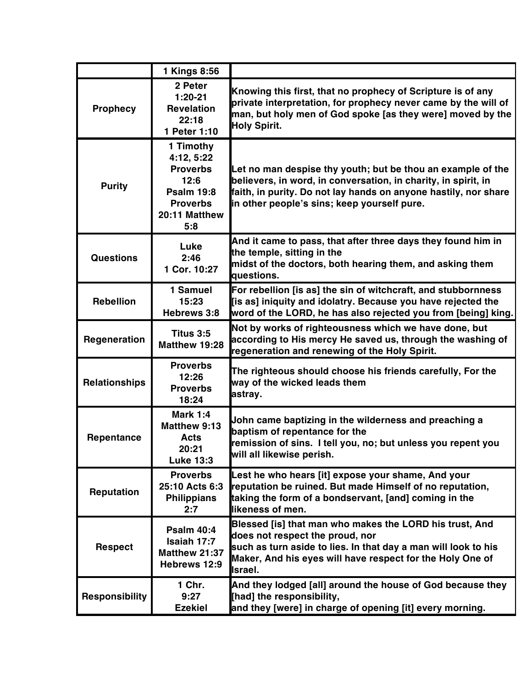|                      | 1 Kings 8:56                                                                                                       |                                                                                                                                                                                                                                                 |
|----------------------|--------------------------------------------------------------------------------------------------------------------|-------------------------------------------------------------------------------------------------------------------------------------------------------------------------------------------------------------------------------------------------|
| <b>Prophecy</b>      | 2 Peter<br>$1:20-21$<br><b>Revelation</b><br>22:18<br>1 Peter 1:10                                                 | Knowing this first, that no prophecy of Scripture is of any<br>private interpretation, for prophecy never came by the will of<br>man, but holy men of God spoke [as they were] moved by the<br><b>Holy Spirit.</b>                              |
| <b>Purity</b>        | 1 Timothy<br>4:12, 5:22<br><b>Proverbs</b><br>12:6<br><b>Psalm 19:8</b><br><b>Proverbs</b><br>20:11 Matthew<br>5:8 | Let no man despise thy youth; but be thou an example of the<br>believers, in word, in conversation, in charity, in spirit, in<br>faith, in purity. Do not lay hands on anyone hastily, nor share<br>in other people's sins; keep yourself pure. |
| <b>Questions</b>     | Luke<br>2:46<br>1 Cor. 10:27                                                                                       | And it came to pass, that after three days they found him in<br>the temple, sitting in the<br>midst of the doctors, both hearing them, and asking them<br>questions.                                                                            |
| <b>Rebellion</b>     | 1 Samuel<br>15:23<br>Hebrews 3:8                                                                                   | For rebellion [is as] the sin of witchcraft, and stubbornness<br>[is as] iniquity and idolatry. Because you have rejected the<br>word of the LORD, he has also rejected you from [being] king.                                                  |
| Regeneration         | Titus 3:5<br>Matthew 19:28                                                                                         | Not by works of righteousness which we have done, but<br>according to His mercy He saved us, through the washing of<br>regeneration and renewing of the Holy Spirit.                                                                            |
| <b>Relationships</b> | <b>Proverbs</b><br>12:26<br><b>Proverbs</b><br>18:24                                                               | The righteous should choose his friends carefully, For the<br>way of the wicked leads them<br>astray.                                                                                                                                           |
| Repentance           | <b>Mark 1:4</b><br>Matthew 9:13<br><b>Acts</b><br>20:21<br><b>Luke 13:3</b>                                        | John came baptizing in the wilderness and preaching a<br>baptism of repentance for the<br>remission of sins. I tell you, no; but unless you repent you<br>will all likewise perish.                                                             |
| Reputation           | <b>Proverbs</b><br>25:10 Acts 6:3<br><b>Philippians</b><br>2:7                                                     | Lest he who hears [it] expose your shame, And your<br>reputation be ruined. But made Himself of no reputation,<br>taking the form of a bondservant, [and] coming in the<br>likeness of men.                                                     |
| <b>Respect</b>       | <b>Psalm 40:4</b><br>Isaiah 17:7<br><b>Matthew 21:37</b><br>Hebrews 12:9                                           | Blessed [is] that man who makes the LORD his trust, And<br>does not respect the proud, nor<br>such as turn aside to lies. In that day a man will look to his<br>Maker, And his eyes will have respect for the Holy One of<br><b>Israel.</b>     |
| Responsibility       | 1 Chr.<br>9:27<br><b>Ezekiel</b>                                                                                   | And they lodged [all] around the house of God because they<br>[had] the responsibility,<br>and they [were] in charge of opening [it] every morning.                                                                                             |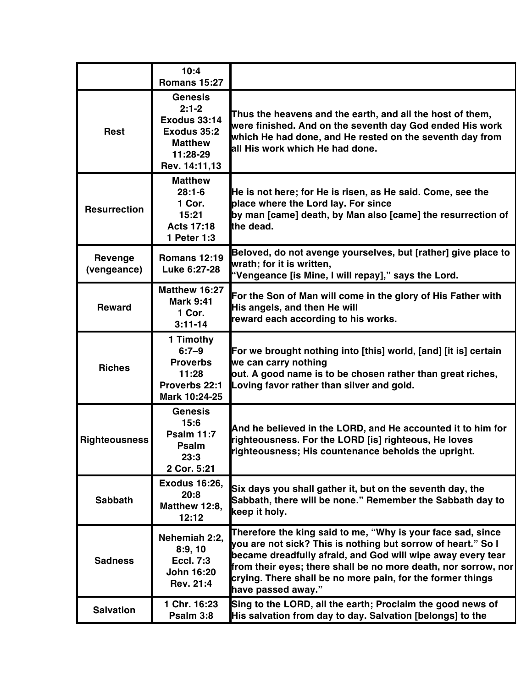|                               | 10:4<br><b>Romans 15:27</b>                                                                                    |                                                                                                                                                                                                                                                                                                                                                  |
|-------------------------------|----------------------------------------------------------------------------------------------------------------|--------------------------------------------------------------------------------------------------------------------------------------------------------------------------------------------------------------------------------------------------------------------------------------------------------------------------------------------------|
| <b>Rest</b>                   | <b>Genesis</b><br>$2:1-2$<br><b>Exodus 33:14</b><br>Exodus 35:2<br><b>Matthew</b><br>11:28-29<br>Rev. 14:11,13 | Thus the heavens and the earth, and all the host of them,<br>were finished. And on the seventh day God ended His work<br>which He had done, and He rested on the seventh day from<br>all His work which He had done.                                                                                                                             |
| <b>Resurrection</b>           | <b>Matthew</b><br>$28:1-6$<br>1 Cor.<br>15:21<br><b>Acts 17:18</b><br>1 Peter 1:3                              | He is not here; for He is risen, as He said. Come, see the<br>place where the Lord lay. For since<br>by man [came] death, by Man also [came] the resurrection of<br>the dead.                                                                                                                                                                    |
| <b>Revenge</b><br>(vengeance) | <b>Romans 12:19</b><br>Luke 6:27-28                                                                            | Beloved, do not avenge yourselves, but [rather] give place to<br>wrath; for it is written,<br>"Vengeance [is Mine, I will repay]," says the Lord.                                                                                                                                                                                                |
| <b>Reward</b>                 | Matthew 16:27<br><b>Mark 9:41</b><br>1 Cor.<br>$3:11 - 14$                                                     | For the Son of Man will come in the glory of His Father with<br>His angels, and then He will<br>reward each according to his works.                                                                                                                                                                                                              |
| <b>Riches</b>                 | 1 Timothy<br>$6:7 - 9$<br><b>Proverbs</b><br>11:28<br>Proverbs 22:1<br>Mark 10:24-25                           | For we brought nothing into [this] world, [and] [it is] certain<br>we can carry nothing<br>out. A good name is to be chosen rather than great riches,<br>Loving favor rather than silver and gold.                                                                                                                                               |
| <b>Righteousness</b>          | <b>Genesis</b><br>15:6<br><b>Psalm 11:7</b><br><b>Psalm</b><br>23:3<br>2 Cor. 5:21                             | And he believed in the LORD, and He accounted it to him for<br>righteousness. For the LORD [is] righteous, He loves<br>righteousness; His countenance beholds the upright.                                                                                                                                                                       |
| <b>Sabbath</b>                | <b>Exodus 16:26,</b><br>20:8<br>Matthew 12:8,<br>12:12                                                         | Six days you shall gather it, but on the seventh day, the<br>Sabbath, there will be none." Remember the Sabbath day to<br>keep it holy.                                                                                                                                                                                                          |
| <b>Sadness</b>                | Nehemiah 2:2.<br>8:9,10<br><b>Eccl. 7:3</b><br><b>John 16:20</b><br>Rev. 21:4                                  | Therefore the king said to me, "Why is your face sad, since<br>you are not sick? This is nothing but sorrow of heart." So I<br>became dreadfully afraid, and God will wipe away every tear<br>from their eyes; there shall be no more death, nor sorrow, nor<br>crying. There shall be no more pain, for the former things<br>have passed away." |
| <b>Salvation</b>              | 1 Chr. 16:23<br>Psalm 3:8                                                                                      | Sing to the LORD, all the earth; Proclaim the good news of<br>His salvation from day to day. Salvation [belongs] to the                                                                                                                                                                                                                          |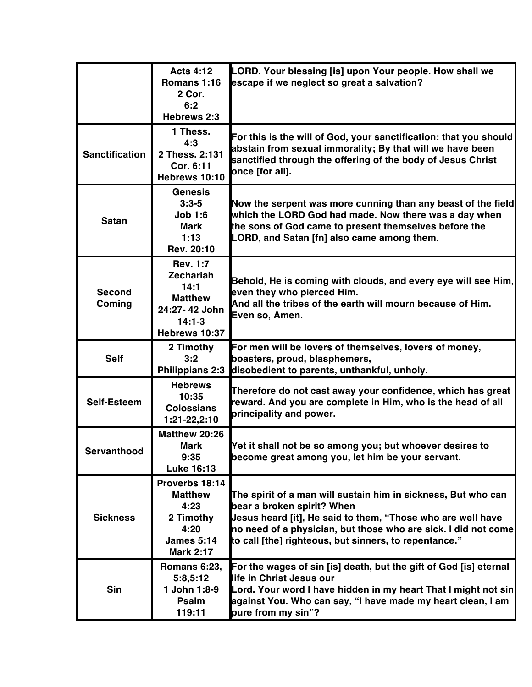|                         | <b>Acts 4:12</b><br>Romans 1:16<br>2 Cor.<br>6:2<br>Hebrews 2:3                                             | LORD. Your blessing [is] upon Your people. How shall we<br>escape if we neglect so great a salvation?                                                                                                                                                                                 |
|-------------------------|-------------------------------------------------------------------------------------------------------------|---------------------------------------------------------------------------------------------------------------------------------------------------------------------------------------------------------------------------------------------------------------------------------------|
| <b>Sanctification</b>   | 1 Thess.<br>4:3<br>2 Thess. 2:131<br>Cor. 6:11<br>Hebrews 10:10                                             | For this is the will of God, your sanctification: that you should<br>abstain from sexual immorality; By that will we have been<br>sanctified through the offering of the body of Jesus Christ<br>once [for all].                                                                      |
| <b>Satan</b>            | <b>Genesis</b><br>$3:3 - 5$<br><b>Job 1:6</b><br>Mark<br>1:13<br>Rev. 20:10                                 | Now the serpent was more cunning than any beast of the field<br>which the LORD God had made. Now there was a day when<br>the sons of God came to present themselves before the<br>LORD, and Satan [fn] also came among them.                                                          |
| <b>Second</b><br>Coming | <b>Rev. 1:7</b><br><b>Zechariah</b><br>14:1<br><b>Matthew</b><br>24:27-42 John<br>$14:1-3$<br>Hebrews 10:37 | Behold, He is coming with clouds, and every eye will see Him, $\mid$<br>even they who pierced Him.<br>And all the tribes of the earth will mourn because of Him.<br>Even so, Amen.                                                                                                    |
| <b>Self</b>             | 2 Timothy<br>3:2<br><b>Philippians 2:3</b>                                                                  | For men will be lovers of themselves, lovers of money,<br>boasters, proud, blasphemers,<br>disobedient to parents, unthankful, unholy.                                                                                                                                                |
| Self-Esteem             | <b>Hebrews</b><br>10:35<br><b>Colossians</b><br>1:21-22,2:10                                                | Therefore do not cast away your confidence, which has great<br>reward. And you are complete in Him, who is the head of all<br>principality and power.                                                                                                                                 |
| servantnood             | Matthew 20:26<br><b>Mark</b><br>9:35<br><b>Luke 16:13</b>                                                   | Yet it shall not be so among you; but whoever desires to<br>become great among you, let him be your servant.                                                                                                                                                                          |
| <b>Sickness</b>         | Proverbs 18:14<br><b>Matthew</b><br>4:23<br>2 Timothy<br>4:20<br><b>James 5:14</b><br><b>Mark 2:17</b>      | The spirit of a man will sustain him in sickness, But who can<br>bear a broken spirit? When<br>Jesus heard [it], He said to them, "Those who are well have<br>no need of a physician, but those who are sick. I did not come<br>to call [the] righteous, but sinners, to repentance." |
| <b>Sin</b>              | Romans 6:23,<br>5:8,5:12<br>1 John 1:8-9<br>Psalm<br>119:11                                                 | For the wages of sin [is] death, but the gift of God [is] eternal<br>life in Christ Jesus our<br>Lord. Your word I have hidden in my heart That I might not sin<br>against You. Who can say, "I have made my heart clean, I am<br>pure from my sin"?                                  |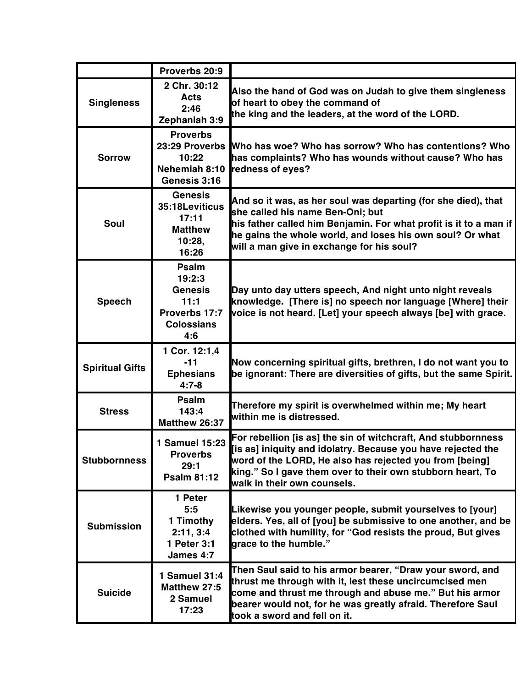|                        | Proverbs 20:9                                                                          |                                                                                                                                                                                                                                                                                       |
|------------------------|----------------------------------------------------------------------------------------|---------------------------------------------------------------------------------------------------------------------------------------------------------------------------------------------------------------------------------------------------------------------------------------|
| <b>Singleness</b>      | 2 Chr. 30:12<br><b>Acts</b><br>2:46<br>Zephaniah 3:9                                   | Also the hand of God was on Judah to give them singleness<br>of heart to obey the command of<br>the king and the leaders, at the word of the LORD.                                                                                                                                    |
| <b>Sorrow</b>          | <b>Proverbs</b><br>23:29 Proverbs<br>10:22<br>Nehemiah 8:10<br>Genesis 3:16            | Who has woe? Who has sorrow? Who has contentions? Who<br>has complaints? Who has wounds without cause? Who has<br>redness of eyes?                                                                                                                                                    |
| Soul                   | <b>Genesis</b><br>35:18Leviticus<br>17:11<br><b>Matthew</b><br>10:28,<br>16:26         | And so it was, as her soul was departing (for she died), that<br>she called his name Ben-Oni; but<br>his father called him Benjamin. For what profit is it to a man if<br>he gains the whole world, and loses his own soul? Or what<br>will a man give in exchange for his soul?      |
| <b>Speech</b>          | Psalm<br>19:2:3<br><b>Genesis</b><br>11:1<br>Proverbs 17:7<br><b>Colossians</b><br>4:6 | Day unto day utters speech, And night unto night reveals<br>knowledge. [There is] no speech nor language [Where] their<br>voice is not heard. [Let] your speech always [be] with grace.                                                                                               |
| <b>Spiritual Gifts</b> | 1 Cor. 12:1,4<br>$-11$<br><b>Ephesians</b><br>$4:7 - 8$                                | Now concerning spiritual gifts, brethren, I do not want you to<br>be ignorant: There are diversities of gifts, but the same Spirit.                                                                                                                                                   |
| <b>Stress</b>          | Psalm<br>143:4<br>Matthew 26:37                                                        | Therefore my spirit is overwhelmed within me; My heart<br>within me is distressed.                                                                                                                                                                                                    |
| <b>Stubbornness</b>    | 1 Samuel 15:23<br><b>Proverbs</b><br>29:1<br><b>Psalm 81:12</b>                        | For rebellion [is as] the sin of witchcraft, And stubbornness<br>[is as] iniquity and idolatry. Because you have rejected the<br>word of the LORD, He also has rejected you from [being]<br>king." So I gave them over to their own stubborn heart, To<br>walk in their own counsels. |
| <b>Submission</b>      | 1 Peter<br>5:5<br>1 Timothy<br>2:11, 3:4<br>1 Peter 3:1<br>James 4:7                   | Likewise you younger people, submit yourselves to [your]<br>elders. Yes, all of [you] be submissive to one another, and be<br>clothed with humility, for "God resists the proud, But gives<br>grace to the humble."                                                                   |
| <b>Suicide</b>         | 1 Samuel 31:4<br>Matthew 27:5<br>2 Samuel<br>17:23                                     | Then Saul said to his armor bearer, "Draw your sword, and<br>thrust me through with it, lest these uncircumcised men<br>come and thrust me through and abuse me." But his armor<br>bearer would not, for he was greatly afraid. Therefore Saul<br>took a sword and fell on it.        |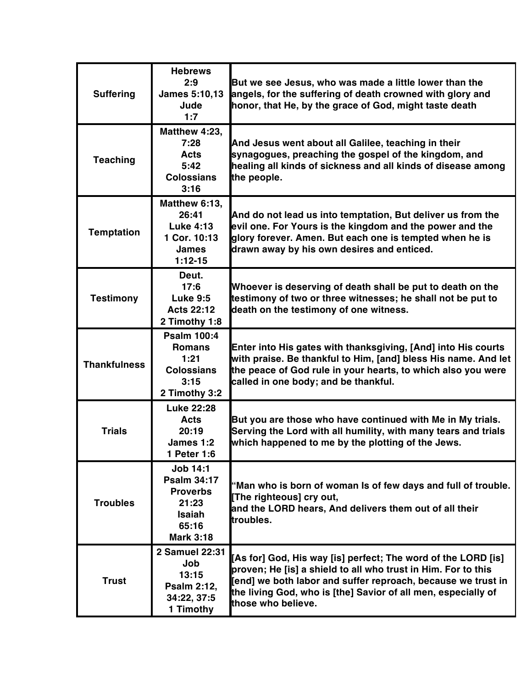| <b>Suffering</b>    | <b>Hebrews</b><br>2:9<br>James 5:10,13<br>Jude<br>1:7                                                           | But we see Jesus, who was made a little lower than the<br>angels, for the suffering of death crowned with glory and<br>honor, that He, by the grace of God, might taste death                                                                                                         |
|---------------------|-----------------------------------------------------------------------------------------------------------------|---------------------------------------------------------------------------------------------------------------------------------------------------------------------------------------------------------------------------------------------------------------------------------------|
| <b>Teaching</b>     | Matthew 4:23,<br>7:28<br><b>Acts</b><br>5:42<br><b>Colossians</b><br>3:16                                       | And Jesus went about all Galilee, teaching in their<br>synagogues, preaching the gospel of the kingdom, and<br>healing all kinds of sickness and all kinds of disease among<br>the people.                                                                                            |
| <b>Temptation</b>   | Matthew 6:13,<br>26:41<br><b>Luke 4:13</b><br>1 Cor. 10:13<br><b>James</b><br>$1:12-15$                         | And do not lead us into temptation, But deliver us from the<br>evil one. For Yours is the kingdom and the power and the<br>glory forever. Amen. But each one is tempted when he is<br>drawn away by his own desires and enticed.                                                      |
| <b>Testimony</b>    | Deut.<br>17:6<br><b>Luke 9:5</b><br><b>Acts 22:12</b><br>2 Timothy 1:8                                          | Whoever is deserving of death shall be put to death on the<br>testimony of two or three witnesses; he shall not be put to<br>death on the testimony of one witness.                                                                                                                   |
| <b>Thankfulness</b> | <b>Psalm 100:4</b><br><b>Romans</b><br>1:21<br><b>Colossians</b><br>3:15<br>2 Timothy 3:2                       | Enter into His gates with thanksgiving, [And] into His courts<br>with praise. Be thankful to Him, [and] bless His name. And let<br>the peace of God rule in your hearts, to which also you were<br>called in one body; and be thankful.                                               |
| <b>Trials</b>       | <b>Luke 22:28</b><br><b>Acts</b><br>20:19<br>James 1:2<br>1 Peter 1:6                                           | But you are those who have continued with Me in My trials.<br>Serving the Lord with all humility, with many tears and trials<br>which happened to me by the plotting of the Jews.                                                                                                     |
| <b>Troubles</b>     | <b>Job 14:1</b><br><b>Psalm 34:17</b><br><b>Proverbs</b><br>21:23<br><b>Isaiah</b><br>65:16<br><b>Mark 3:18</b> | "Man who is born of woman Is of few days and full of trouble.<br>[The righteous] cry out,<br>and the LORD hears, And delivers them out of all their<br>troubles.                                                                                                                      |
| <b>Trust</b>        | 2 Samuel 22:31<br>Job<br>13:15<br>Psalm 2:12,<br>34:22, 37:5<br>1 Timothy                                       | [As for] God, His way [is] perfect; The word of the LORD [is]<br>proven; He [is] a shield to all who trust in Him. For to this<br>[end] we both labor and suffer reproach, because we trust in<br>the living God, who is [the] Savior of all men, especially of<br>those who believe. |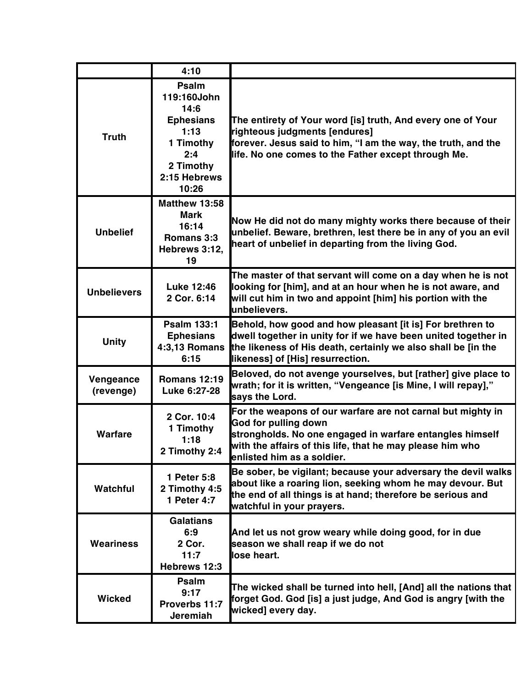|                        | 4:10                                                                                                               |                                                                                                                                                                                                                                            |
|------------------------|--------------------------------------------------------------------------------------------------------------------|--------------------------------------------------------------------------------------------------------------------------------------------------------------------------------------------------------------------------------------------|
| <b>Truth</b>           | Psalm<br>119:160John<br>14:6<br><b>Ephesians</b><br>1:13<br>1 Timothy<br>2:4<br>2 Timothy<br>2:15 Hebrews<br>10:26 | The entirety of Your word [is] truth, And every one of Your<br>righteous judgments [endures]<br>forever. Jesus said to him, "I am the way, the truth, and the<br>life. No one comes to the Father except through Me.                       |
| <b>Unbelief</b>        | <b>Matthew 13:58</b><br>Mark<br>16:14<br>Romans 3:3<br>Hebrews 3:12,<br>19                                         | Now He did not do many mighty works there because of their<br>unbelief. Beware, brethren, lest there be in any of you an evil<br>heart of unbelief in departing from the living God.                                                       |
| <b>Unbelievers</b>     | <b>Luke 12:46</b><br>2 Cor. 6:14                                                                                   | The master of that servant will come on a day when he is not<br>looking for [him], and at an hour when he is not aware, and<br>will cut him in two and appoint [him] his portion with the<br>unbelievers.                                  |
| <b>Unity</b>           | <b>Psalm 133:1</b><br><b>Ephesians</b><br><b>4:3,13 Romans</b><br>6:15                                             | Behold, how good and how pleasant [it is] For brethren to<br>dwell together in unity for if we have been united together in<br>the likeness of His death, certainly we also shall be [in the<br>likeness] of [His] resurrection.           |
| Vengeance<br>(revenge) | <b>Romans 12:19</b><br>Luke 6:27-28                                                                                | Beloved, do not avenge yourselves, but [rather] give place to<br>wrath; for it is written, "Vengeance [is Mine, I will repay],"<br>says the Lord.                                                                                          |
| Warfare                | 2 Cor. 10:4<br>1 Timothy<br>1:18<br>2 Timothy 2:4                                                                  | For the weapons of our warfare are not carnal but mighty in<br>God for pulling down<br>strongholds. No one engaged in warfare entangles himself<br>with the affairs of this life, that he may please him who<br>enlisted him as a soldier. |
| Watchful               | 1 Peter 5:8<br>2 Timothy 4:5<br>1 Peter 4:7                                                                        | Be sober, be vigilant; because your adversary the devil walks<br>about like a roaring lion, seeking whom he may devour. But<br>the end of all things is at hand; therefore be serious and<br>watchful in your prayers.                     |
| <b>Weariness</b>       | <b>Galatians</b><br>6:9<br>2 Cor.<br>11:7<br>Hebrews 12:3                                                          | And let us not grow weary while doing good, for in due<br>season we shall reap if we do not<br>llose heart.                                                                                                                                |
| <b>Wicked</b>          | Psalm<br>9:17<br>Proverbs 11:7<br>Jeremiah                                                                         | The wicked shall be turned into hell, [And] all the nations that<br>forget God. God [is] a just judge, And God is angry [with the<br>wicked] every day.                                                                                    |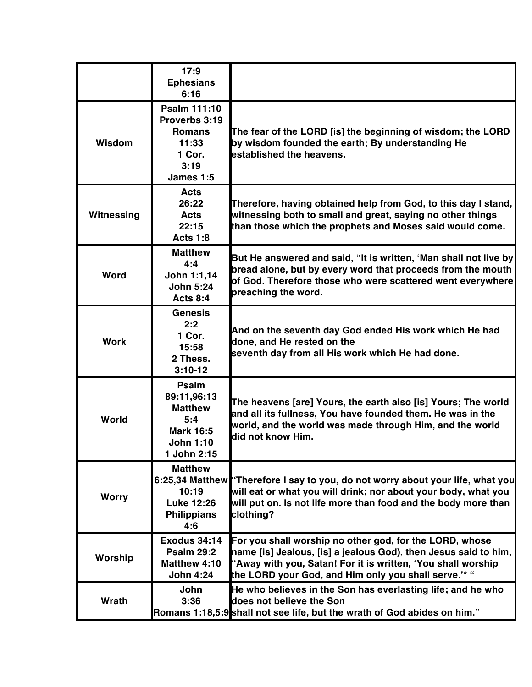|               | 17:9<br><b>Ephesians</b><br>6:16                                                                     |                                                                                                                                                                                                                                                    |
|---------------|------------------------------------------------------------------------------------------------------|----------------------------------------------------------------------------------------------------------------------------------------------------------------------------------------------------------------------------------------------------|
| <b>Wisdom</b> | Psalm 111:10<br>Proverbs 3:19<br><b>Romans</b><br>11:33<br>1 Cor.<br>3:19<br>James 1:5               | The fear of the LORD [is] the beginning of wisdom; the LORD<br>by wisdom founded the earth; By understanding He<br>established the heavens.                                                                                                        |
| Witnessing    | <b>Acts</b><br>26:22<br><b>Acts</b><br>22:15<br><b>Acts 1:8</b>                                      | Therefore, having obtained help from God, to this day I stand,<br>witnessing both to small and great, saying no other things<br>than those which the prophets and Moses said would come.                                                           |
| Word          | <b>Matthew</b><br>4:4<br>John 1:1,14<br><b>John 5:24</b><br><b>Acts 8:4</b>                          | But He answered and said, "It is written, 'Man shall not live by<br>bread alone, but by every word that proceeds from the mouth<br>of God. Therefore those who were scattered went everywhere<br>preaching the word.                               |
| <b>Work</b>   | <b>Genesis</b><br>2:2<br>1 Cor.<br>15:58<br>2 Thess.<br>$3:10-12$                                    | And on the seventh day God ended His work which He had<br>done, and He rested on the<br>seventh day from all His work which He had done.                                                                                                           |
| World         | Psalm<br>89:11,96:13<br><b>Matthew</b><br>5:4<br><b>Mark 16:5</b><br><b>John 1:10</b><br>1 John 2:15 | The heavens [are] Yours, the earth also [is] Yours; The world<br>and all its fullness, You have founded them. He was in the<br>world, and the world was made through Him, and the world<br>did not know Him.                                       |
| <b>Worry</b>  | <b>Matthew</b><br>10:19<br><b>Luke 12:26</b><br><b>Philippians</b><br>4:6                            | 6:25,34 Matthew "Therefore I say to you, do not worry about your life, what you<br>will eat or what you will drink; nor about your body, what you<br>will put on. Is not life more than food and the body more than<br>clothing?                   |
| Worship       | <b>Exodus 34:14</b><br><b>Psalm 29:2</b><br>Matthew 4:10<br><b>John 4:24</b>                         | For you shall worship no other god, for the LORD, whose<br>name [is] Jealous, [is] a jealous God), then Jesus said to him,<br>"Away with you, Satan! For it is written, 'You shall worship<br>the LORD your God, and Him only you shall serve.'* " |
| Wrath         | John<br>3:36                                                                                         | He who believes in the Son has everlasting life; and he who<br>does not believe the Son<br>Romans 1:18,5:9 shall not see life, but the wrath of God abides on him."                                                                                |